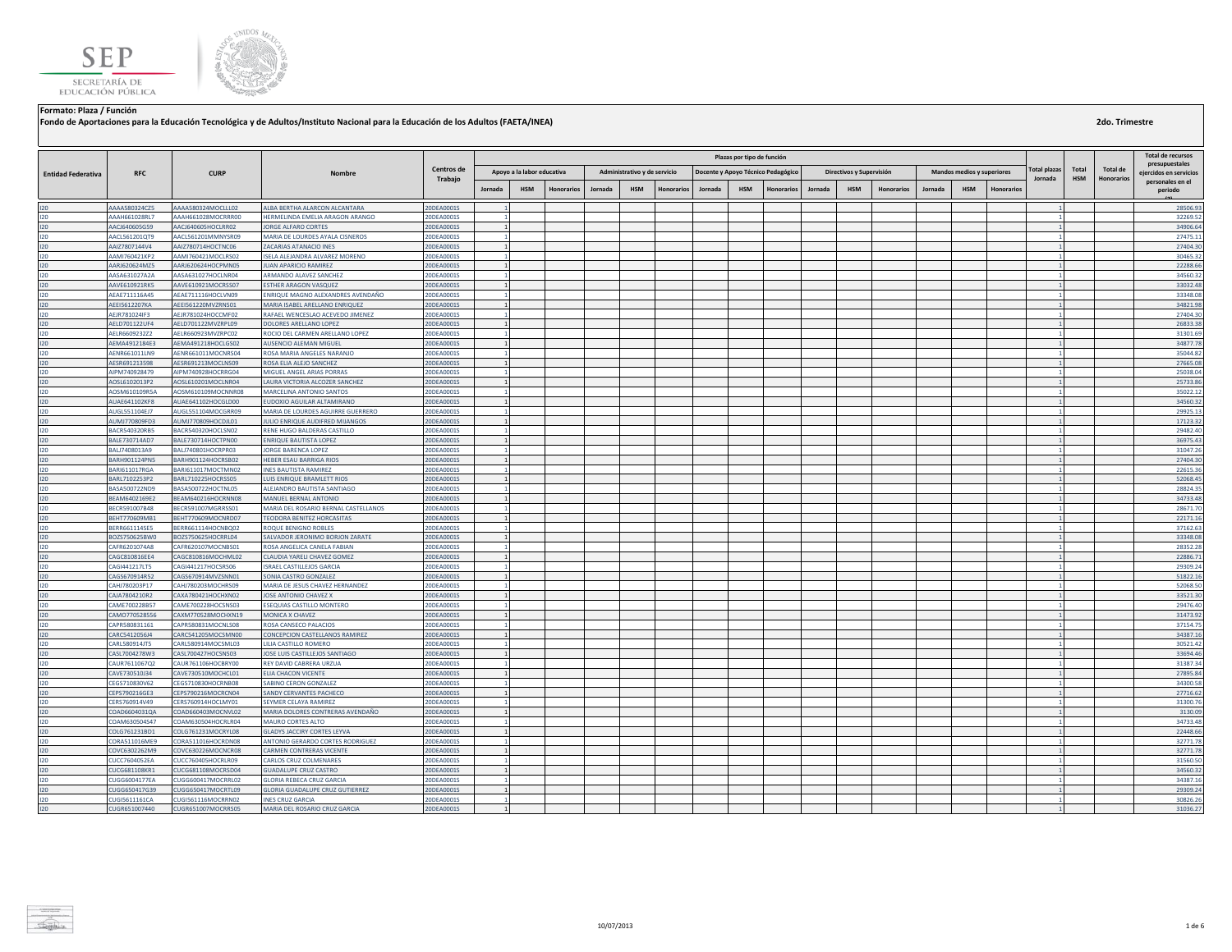



**Fondo de Aportaciones para la Educación Tecnológica y de Adultos/Instituto Nacional para la Educación de los Adultos (FAETA/INEA)**

|                           |                                       |                                          |                                                                      |                          |                                |            |                   |         |                              |                   |         | Plazas por tipo de función |                                    |         |                          |                   |         |                                   |                  |                     |            |                   | <b>Total de recursos</b>                 |
|---------------------------|---------------------------------------|------------------------------------------|----------------------------------------------------------------------|--------------------------|--------------------------------|------------|-------------------|---------|------------------------------|-------------------|---------|----------------------------|------------------------------------|---------|--------------------------|-------------------|---------|-----------------------------------|------------------|---------------------|------------|-------------------|------------------------------------------|
| <b>Entidad Federativa</b> | <b>RFC</b>                            | <b>CURP</b>                              | Nombre                                                               | Centros de               | Apoyo a la labor educativa     |            |                   |         | Administrativo y de servicio |                   |         |                            | Docente y Apoyo Técnico Pedagógico |         | Directivos y Supervisión |                   |         | <b>Mandos medios y superiores</b> |                  | <b>Total plazas</b> | Total      | Total de          | presupuestales<br>eiercidos en servicios |
|                           |                                       |                                          |                                                                      | Trabajo                  | Jornada                        | <b>HSM</b> | <b>Honorarios</b> | Jornada | <b>HSM</b>                   | <b>Honorarios</b> | Jornada | <b>HSM</b>                 | Honorarios                         | Jornada | <b>HSM</b>               | <b>Honorarios</b> | Jornada | <b>HSM</b>                        | <b>Honorario</b> | Jornada             | <b>HSM</b> | <b>Honorarios</b> | personales en el<br>periodo              |
| 120                       | AAAA580324CZ5                         | AAAA580324MOCLLL02                       | ALBA BERTHA ALARCON ALCANTARA                                        | 20DEA0001S               |                                |            |                   |         |                              |                   |         |                            |                                    |         |                          |                   |         |                                   |                  |                     |            |                   | 28506.93                                 |
| 120                       | AAAH661028RL7                         | AAAH661028MOCRRR00                       | HERMELINDA EMELIA ARAGON ARANGO                                      | 20DEA0001S               |                                |            |                   |         |                              |                   |         |                            |                                    |         |                          |                   |         |                                   |                  |                     |            |                   | 32269.52                                 |
| 120                       | AACJ640605G59                         | AACJ640605HOCLRR02                       | <b>IORGE ALFARO CORTES</b>                                           | 20DEA0001S               |                                |            |                   |         |                              |                   |         |                            |                                    |         |                          |                   |         |                                   |                  |                     |            |                   | 34906.64                                 |
| 120                       | AACL561201QT9                         | AACL561201MMNYSR09                       | MARIA DE LOURDES AYALA CISNEROS                                      | 20DEA0001S               |                                |            |                   |         |                              |                   |         |                            |                                    |         |                          |                   |         |                                   |                  |                     |            |                   | 27475.1                                  |
| 120                       | AAIZ7807144V4                         | AAIZ780714HOCTNC06                       | ZACARIAS ATANACIO INES                                               | 20DEA0001S               |                                |            |                   |         |                              |                   |         |                            |                                    |         |                          |                   |         |                                   |                  |                     |            |                   | 27404.30                                 |
| 120                       | AAMI760421KP2                         | AAMI760421MOCLRS02                       | ISELA ALEJANDRA ALVAREZ MORENO                                       | 20DEA0001S               |                                |            |                   |         |                              |                   |         |                            |                                    |         |                          |                   |         |                                   |                  |                     |            |                   | 30465.32                                 |
| 120                       | AARJ620624MZ5                         | AARJ620624HOCPMN05                       | <b>IUAN APARICIO RAMIREZ</b>                                         | 20DEA0001S               | $\mathbf{1}$                   |            |                   |         |                              |                   |         |                            |                                    |         |                          |                   |         |                                   |                  |                     |            |                   | 22288.66                                 |
| 120<br>120                | AASA631027A2A<br>AAVE610921RK5        | AASA631027HOCLNR04<br>AAVE610921MOCRSS07 | ARMANDO ALAVEZ SANCHEZ<br><b>ESTHER ARAGON VASQUEZ</b>               | 20DEA0001S<br>20DEA0001S | $\mathbf{1}$                   |            |                   |         |                              |                   |         |                            |                                    |         |                          |                   |         |                                   |                  |                     |            |                   | 34560.32<br>33032.48                     |
| 120                       | AEAE711116A45                         | AEAE711116HOCLVN09                       | ENRIQUE MAGNO ALEXANDRES AVENDAÑO                                    | 20DEA0001S               |                                |            |                   |         |                              |                   |         |                            |                                    |         |                          |                   |         |                                   |                  |                     |            |                   | 33348.08                                 |
| 120                       | AEEI5612207KA                         | AEEI561220MVZRNS01                       | MARIA ISABEL ARELLANO ENRIQUEZ                                       | 20DEA0001S               |                                |            |                   |         |                              |                   |         |                            |                                    |         |                          |                   |         |                                   |                  |                     |            |                   | 34821.98                                 |
| 120                       | AEJR781024IF3                         | AEJR781024HOCCMF02                       | RAFAEL WENCESLAO ACEVEDO JIMENEZ                                     | 20DEA0001S               |                                |            |                   |         |                              |                   |         |                            |                                    |         |                          |                   |         |                                   |                  |                     |            |                   | 27404.30                                 |
| 120                       | AELD701122UF4                         | AELD701122MVZRPL09                       | DOLORES ARELLANO LOPEZ                                               | 20DEA0001S               | $\mathbf{1}$                   |            |                   |         |                              |                   |         |                            |                                    |         |                          |                   |         |                                   |                  |                     |            |                   | 26833.38                                 |
| 120                       | AELR6609232Z2                         | AELR660923MVZRPC02                       | ROCIO DEL CARMEN ARELLANO LOPEZ                                      | 20DEA0001S               |                                |            |                   |         |                              |                   |         |                            |                                    |         |                          |                   |         |                                   |                  |                     |            |                   | 31301.69                                 |
| 120                       | AEMA4912184E3                         | AEMA491218HOCLGS02                       | AUSENCIO ALEMAN MIGUEL                                               | 20DEA0001S               | $\mathbf{1}$                   |            |                   |         |                              |                   |         |                            |                                    |         |                          |                   |         |                                   |                  |                     |            |                   | 34877.78                                 |
| 120                       | AENR661011LN9                         | AENR661011MOCNRS04                       | ROSA MARIA ANGELES NARANJO                                           | 20DEA0001S               |                                |            |                   |         |                              |                   |         |                            |                                    |         |                          |                   |         |                                   |                  |                     |            |                   | 35044.82                                 |
| 120                       | AESR691213598                         | AESR691213MOCLNS09                       | ROSA ELIA ALEJO SANCHEZ                                              | 20DEA0001S               |                                |            |                   |         |                              |                   |         |                            |                                    |         |                          |                   |         |                                   |                  |                     |            |                   | 27665.08                                 |
| 120                       | AIPM740928479                         | AIPM740928HOCRRG04                       | MIGUEL ANGEL ARIAS PORRAS                                            | 20DEA0001S               |                                |            |                   |         |                              |                   |         |                            |                                    |         |                          |                   |         |                                   |                  |                     |            |                   | 25038.04                                 |
| 120                       | AOSL6102013P2                         | AOSL610201MOCLNR04                       | LAURA VICTORIA ALCOZER SANCHEZ                                       | 20DEA0001S               | $\overline{1}$                 |            |                   |         |                              |                   |         |                            |                                    |         |                          |                   |         |                                   |                  |                     |            |                   | 25733.86                                 |
| 120                       | AOSM610109R5A                         | AOSM610109MOCNNR08                       | MARCELINA ANTONIO SANTOS                                             | 20DEA0001S               |                                |            |                   |         |                              |                   |         |                            |                                    |         |                          |                   |         |                                   |                  |                     |            |                   | 35022.12                                 |
| 120                       | AUAE641102KF8                         | AUAE641102HOCGLD00                       | <b>FUDOXIO AGUILAR ALTAMIRANO</b>                                    | 20DEA0001S               |                                |            |                   |         |                              |                   |         |                            |                                    |         |                          |                   |         |                                   |                  |                     |            |                   | 34560.32                                 |
| 120                       | AUGL551104EJ7                         | AUGL551104MOCGRR09                       | MARIA DE LOURDES AGUIRRE GUERRERO                                    | 20DEA0001S               |                                |            |                   |         |                              |                   |         |                            |                                    |         |                          |                   |         |                                   |                  |                     |            |                   | 29925.13                                 |
| 120<br>120                | AUMJ770809FD3<br><b>BACR540320RB5</b> | AUMJ770809HOCDJL01<br>BACR540320HOCLSN02 | <b>ULIO ENRIQUE AUDIFRED MIJANGOS</b><br>RENE HUGO BALDERAS CASTILLO | 20DEA0001S               |                                |            |                   |         |                              |                   |         |                            |                                    |         |                          |                   |         |                                   |                  |                     |            |                   | 17123.32<br>29482.40                     |
| 120                       | BALE730714AD7                         | BALE730714HOCTPN00                       | ENRIQUE BAUTISTA LOPEZ                                               | 20DEA0001S<br>20DEA0001S | $\blacksquare$<br>$\mathbf{1}$ |            |                   |         |                              |                   |         |                            |                                    |         |                          |                   |         |                                   |                  |                     |            |                   | 36975.43                                 |
| 120                       | BALJ7408013A9                         | BALJ740801HOCRPR03                       | JORGE BARENCA LOPEZ                                                  | 20DEA0001S               | $\blacksquare$                 |            |                   |         |                              |                   |         |                            |                                    |         |                          |                   |         |                                   |                  |                     |            |                   | 31047.26                                 |
| 120                       | BARH901124PN5                         | BARH901124HOCRSB02                       | HEBER ESAU BARRIGA RIOS                                              | 20DEA0001S               | 1 <sup>1</sup>                 |            |                   |         |                              |                   |         |                            |                                    |         |                          |                   |         |                                   |                  |                     |            |                   | 27404.30                                 |
| 120                       | BARI611017RGA                         | BARI611017MOCTMN02                       | <b>NES BAUTISTA RAMIREZ</b>                                          | 20DEA0001S               |                                |            |                   |         |                              |                   |         |                            |                                    |         |                          |                   |         |                                   |                  |                     |            |                   | 22615.36                                 |
| 120                       | BARL7102253P2                         | BARL710225HOCRSS05                       | LUIS ENRIQUE BRAMLETT RIOS                                           | 20DEA0001S               | $\mathbf{1}$                   |            |                   |         |                              |                   |         |                            |                                    |         |                          |                   |         |                                   |                  |                     |            |                   | 52068.45                                 |
| 120                       | BASA500722ND9                         | BASA500722HOCTNL05                       | ALEJANDRO BAUTISTA SANTIAGO                                          | 20DEA0001S               | $\sim$                         |            |                   |         |                              |                   |         |                            |                                    |         |                          |                   |         |                                   |                  |                     |            |                   | 28824.35                                 |
| 120                       | BEAM6402169E2                         | BEAM640216HOCRNN08                       | MANUEL BERNAL ANTONIO                                                | 20DEA0001S               | $\mathbf{1}$                   |            |                   |         |                              |                   |         |                            |                                    |         |                          |                   |         |                                   |                  |                     |            |                   | 34733.48                                 |
| 120                       | BECR591007B48                         | BECR591007MGRRSS01                       | MARIA DEL ROSARIO BERNAL CASTELLANOS                                 | 20DEA0001S               |                                |            |                   |         |                              |                   |         |                            |                                    |         |                          |                   |         |                                   |                  |                     |            |                   | 28671.70                                 |
| 120                       | BEHT770609MB1                         | BEHT770609MOCNRD07                       | TEODORA BENITEZ HORCASITAS                                           | 20DEA0001S               | $\mathbf{1}$                   |            |                   |         |                              |                   |         |                            |                                    |         |                          |                   |         |                                   |                  |                     |            |                   | 22171.16                                 |
| 120                       | BERR661114SE5                         | BERR661114HOCNBQ02                       | ROQUE BENIGNO ROBLES                                                 | 20DEA0001S               |                                |            |                   |         |                              |                   |         |                            |                                    |         |                          |                   |         |                                   |                  |                     |            |                   | 37162.63                                 |
| 120                       | BOZS750625BW0                         | BOZS750625HOCRRL04                       | SAI VADOR JERONIMO BORION ZARATE                                     | 20DEA0001S               | 1                              |            |                   |         |                              |                   |         |                            |                                    |         |                          |                   |         |                                   |                  |                     |            |                   | 33348.08                                 |
| 120                       | CAFR6201074A8                         | CAFR620107MOCNBS01                       | ROSA ANGELICA CANELA FABIAN                                          | 20DEA0001S               |                                |            |                   |         |                              |                   |         |                            |                                    |         |                          |                   |         |                                   |                  |                     |            |                   | 28352.28                                 |
| 120                       | CAGC810816EE4                         | CAGC810816MOCHML02                       | CLAUDIA YARELI CHAVEZ GOMEZ                                          | 20DEA0001S               | $\mathbf{1}$                   |            |                   |         |                              |                   |         |                            |                                    |         |                          |                   |         |                                   |                  |                     |            |                   | 22886.71                                 |
| 120                       | CAGI441217LT5                         | CAGI441217HOCSRS06                       | <b>ISRAEL CASTILLEJOS GARCIA</b>                                     | 20DEA0001S               |                                |            |                   |         |                              |                   |         |                            |                                    |         |                          |                   |         |                                   |                  |                     |            |                   | 29309.24                                 |
| 120                       | CAGS670914R52                         | CAGS670914MVZSNN01                       | SONIA CASTRO GONZALEZ                                                | 20DEA0001S               |                                |            |                   |         |                              |                   |         |                            |                                    |         |                          |                   |         |                                   |                  |                     |            |                   | 51822.16                                 |
| 120<br>120                | CAHJ780203P17<br>CAJA7804210R2        | CAHJ780203MOCHRS09<br>CAXA780421HOCHXN02 | MARIA DE JESUS CHAVEZ HERNANDEZ<br>JOSE ANTONIO CHAVEZ X             | 20DEA0001S<br>20DEA0001S | 1                              |            |                   |         |                              |                   |         |                            |                                    |         |                          |                   |         |                                   |                  |                     |            |                   | 52068.50<br>33521.30                     |
| 120                       | CAME700228B57                         | CAME700228HOCSNS03                       | ESEQUIAS CASTILLO MONTERO                                            | 20DEA0001S               |                                |            |                   |         |                              |                   |         |                            |                                    |         |                          |                   |         |                                   |                  |                     |            |                   | 29476.40                                 |
| 120                       | CAMO770528556                         | CAXM770528MOCHXN19                       | MONICA X CHAVEZ                                                      | 20DEA0001S               |                                |            |                   |         |                              |                   |         |                            |                                    |         |                          |                   |         |                                   |                  |                     |            |                   | 31473.92                                 |
| 120                       | CAPR580831161                         | CAPR580831MOCNLS08                       | ROSA CANSECO PALACIOS                                                | 20DEA0001S               |                                |            |                   |         |                              |                   |         |                            |                                    |         |                          |                   |         |                                   |                  |                     |            |                   | 37154.7                                  |
| 120                       | CARC5412056J4                         | CARC541205MOCSMN00                       | CONCEPCION CASTELLANOS RAMIREZ                                       | 20DEA0001S               |                                |            |                   |         |                              |                   |         |                            |                                    |         |                          |                   |         |                                   |                  |                     |            |                   | 34387.1                                  |
| 120                       | CARL580914JT5                         | CARL580914MOCSML03                       | LILIA CASTILLO ROMERO                                                | 20DEA0001S               |                                |            |                   |         |                              |                   |         |                            |                                    |         |                          |                   |         |                                   |                  |                     |            |                   | 30521.42                                 |
| 120                       | CASL7004278W3                         | CASL700427HOCSNS03                       | JOSE LUIS CASTILLEJOS SANTIAGO                                       | 20DEA0001S               | $\mathbf{1}$                   |            |                   |         |                              |                   |         |                            |                                    |         |                          |                   |         |                                   |                  |                     |            |                   | 33694.46                                 |
| 120                       | CAUR7611067Q2                         | CAUR761106HOCBRY00                       | REY DAVID CABRERA URZUA                                              | 20DEA0001S               | $\mathbf{1}$                   |            |                   |         |                              |                   |         |                            |                                    |         |                          |                   |         |                                   |                  |                     |            |                   | 31387.34                                 |
| 120                       | CAVE730510J34                         | CAVE730510MOCHCL01                       | <b>ELIA CHACON VICENTE</b>                                           | 20DEA0001S               |                                |            |                   |         |                              |                   |         |                            |                                    |         |                          |                   |         |                                   |                  |                     |            |                   | 27895.84                                 |
| 120                       | CEGS710830V62                         | CEGS710830HOCRNB08                       | <b>SABINO CERON GONZALEZ</b>                                         | 20DEA0001S               |                                |            |                   |         |                              |                   |         |                            |                                    |         |                          |                   |         |                                   |                  |                     |            |                   | 34300.58                                 |
| 120                       | CEPS790216GE3                         | CEPS790216MOCRCN04                       | SANDY CERVANTES PACHECO                                              | 20DEA0001S               |                                |            |                   |         |                              |                   |         |                            |                                    |         |                          |                   |         |                                   |                  |                     |            |                   | 27716.62                                 |
| 120                       | CERS760914V49                         | CERS760914HOCLMY01                       | SEYMER CELAYA RAMIREZ                                                | 20DEA0001S               | $\mathbf{1}$                   |            |                   |         |                              |                   |         |                            |                                    |         |                          |                   |         |                                   |                  |                     |            |                   | 31300.76                                 |
| 120                       | COAD6604031QA                         | COAD660403MOCNVL02                       | MARIA DOLORES CONTRERAS AVENDAÑO                                     | 20DEA0001S               |                                |            |                   |         |                              |                   |         |                            |                                    |         |                          |                   |         |                                   |                  |                     |            |                   | 3130.09                                  |
| 120                       | COAM630504S47                         | COAM630504HOCRLR04                       | MAURO CORTES ALTO                                                    | 20DEA0001S               |                                |            |                   |         |                              |                   |         |                            |                                    |         |                          |                   |         |                                   |                  |                     |            |                   | 34733.48                                 |
| 120                       | COLG761231BD1                         | COLG761231MOCRYL08                       | <b>GLADYS JACCIRY CORTES LEYVA</b>                                   | 20DEA0001S               | $\mathbf{1}$                   |            |                   |         |                              |                   |         |                            |                                    |         |                          |                   |         |                                   |                  |                     |            |                   | 22448.66                                 |
| 120                       | CORA511016ME9                         | CORA511016HOCRDN08                       | ANTONIO GERARDO CORTES RODRIGUEZ                                     | 20DEA0001S               |                                |            |                   |         |                              |                   |         |                            |                                    |         |                          |                   |         |                                   |                  |                     |            |                   | 32771.78                                 |
| 120<br>120                | COVC6302262M9<br>CUCC7604052EA        | COVC630226MOCNCR08<br>CUCC760405HOCRLR09 | CARMEN CONTRERAS VICENTE<br>CARLOS CRUZ COLMENARES                   | 20DEA0001S<br>20DEA0001S | $\blacksquare$                 |            |                   |         |                              |                   |         |                            |                                    |         |                          |                   |         |                                   |                  |                     |            |                   | 32771.78<br>31560.50                     |
| 120                       | CUCG681108KR1                         | CUCG681108MOCRSD04                       | <b>GUADALUPE CRUZ CASTRO</b>                                         | 20DEA0001S               | $\mathbf{1}$                   |            |                   |         |                              |                   |         |                            |                                    |         |                          |                   |         |                                   |                  |                     |            |                   | 34560.32                                 |
| 120                       | CUGG6004177EA                         | CUGG600417MOCRRL02                       | <b>GLORIA REBECA CRUZ GARCIA</b>                                     | 20DEA0001S               |                                |            |                   |         |                              |                   |         |                            |                                    |         |                          |                   |         |                                   |                  |                     |            |                   | 34387.16                                 |
| 120                       | CUGG650417G39                         | CUGG650417MOCRTL09                       | <b>GLORIA GUADALUPE CRUZ GUTIERREZ</b>                               | 20DEA0001S               |                                |            |                   |         |                              |                   |         |                            |                                    |         |                          |                   |         |                                   |                  |                     |            |                   | 29309.24                                 |
| 120                       | CUGI5611161CA                         | CUGI561116MOCRRN02                       | <b>INES CRUZ GARCIA</b>                                              | 20DEA0001S               |                                |            |                   |         |                              |                   |         |                            |                                    |         |                          |                   |         |                                   |                  |                     |            |                   | 30826.26                                 |
| 120                       | CUGR651007440                         | CUGR651007MOCRRS05                       | MARIA DEL ROSARIO CRUZ GARCIA                                        | 20DEA0001S               | $\mathbf{1}$                   |            |                   |         |                              |                   |         |                            |                                    |         |                          |                   |         |                                   |                  |                     |            |                   | 31036.27                                 |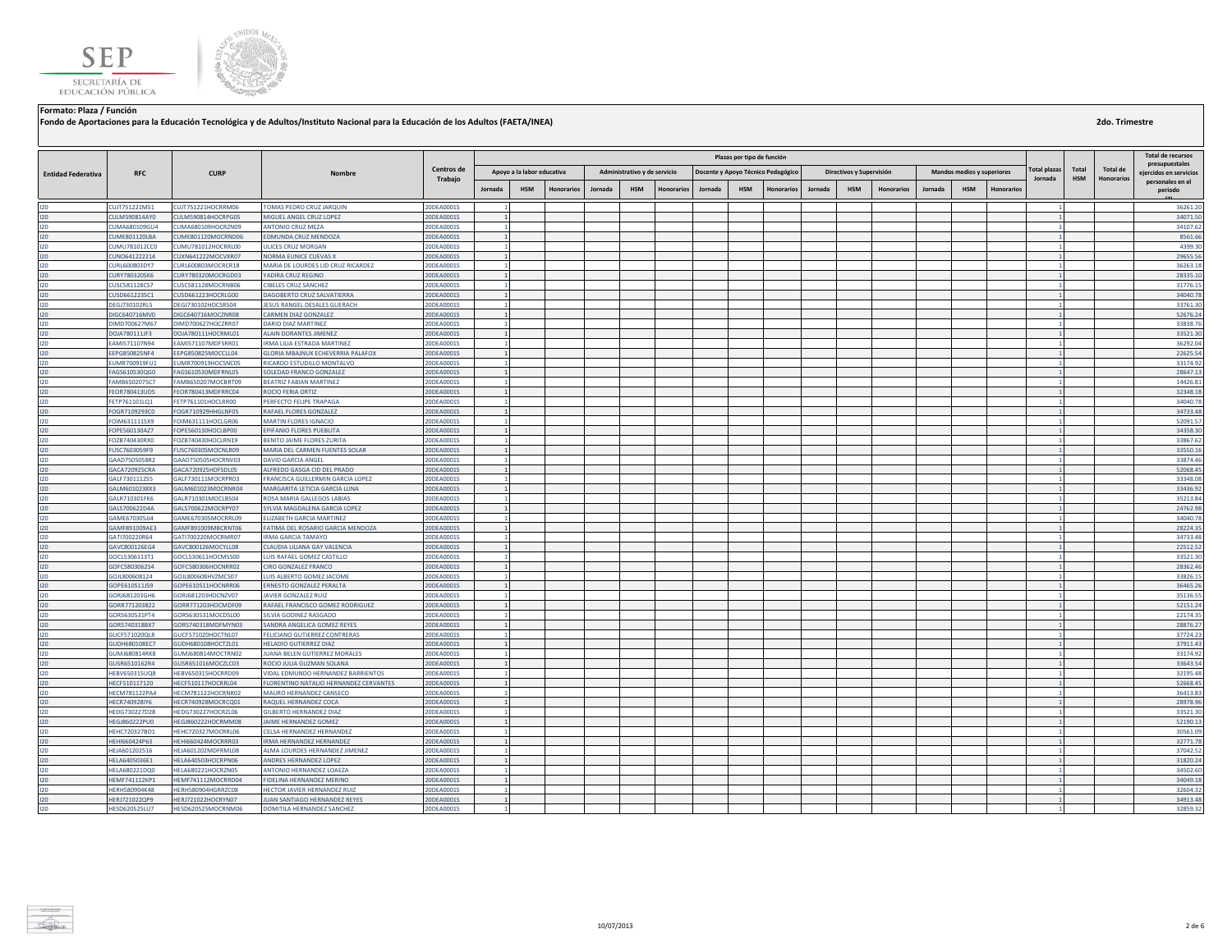



**Fondo de Aportaciones para la Educación Tecnológica y de Adultos/Instituto Nacional para la Educación de los Adultos (FAETA/INEA)**

|                           |                                |                                          |                                                             |                          | Plazas por tipo de función     |                            |                   |         |                              |                   |         |            |                                    |         |                          |                   |         |                            |            |                     | <b>Total de recursos</b> |                 |                                            |
|---------------------------|--------------------------------|------------------------------------------|-------------------------------------------------------------|--------------------------|--------------------------------|----------------------------|-------------------|---------|------------------------------|-------------------|---------|------------|------------------------------------|---------|--------------------------|-------------------|---------|----------------------------|------------|---------------------|--------------------------|-----------------|--------------------------------------------|
|                           |                                |                                          |                                                             | Centros de               |                                |                            |                   |         |                              |                   |         |            |                                    |         |                          |                   |         |                            |            | <b>Total plazas</b> | Total                    | <b>Total de</b> | presupuestales                             |
| <b>Entidad Federativa</b> | <b>RFC</b>                     | <b>CURP</b>                              | Nombre                                                      | Trabajo                  |                                | Apoyo a la labor educativa |                   |         | Administrativo y de servicio |                   |         |            | Docente y Apoyo Técnico Pedagógico |         | Directivos y Supervisión |                   |         | Mandos medios y superiores |            | Jornada             | <b>HSM</b>               | Honorarios      | eiercidos en servicios<br>personales en el |
|                           |                                |                                          |                                                             |                          | Jornada                        | <b>HSM</b>                 | <b>Honorarios</b> | Jornada | <b>HSM</b>                   | <b>Honorarios</b> | Jornada | <b>HSM</b> | <b>Honorarios</b>                  | Jornada | <b>HSM</b>               | <b>Honorarios</b> | Jornada | <b>HSM</b>                 | Honorario: |                     |                          |                 | periodo                                    |
| 120                       | CUJT751221MS1                  | CUJT751221HOCRRM06                       | TOMAS PEDRO CRUZ JAROUIN                                    | 20DEA0001S               |                                |                            |                   |         |                              |                   |         |            |                                    |         |                          |                   |         |                            |            |                     |                          |                 | 36261.20                                   |
| 120                       | CULM590814AY0                  | CULM590814HOCRPG05                       | MIGUEL ANGEL CRUZ LOPEZ                                     | 20DEA0001S               |                                |                            |                   |         |                              |                   |         |            |                                    |         |                          |                   |         |                            |            |                     |                          |                 | 34071.50                                   |
| 120                       | CUMA680109GU4                  | CUMA680109HOCRZN09                       | <b>ANTONIO CRUZ MEZA</b>                                    | 20DEA0001S               | $\blacksquare$                 |                            |                   |         |                              |                   |         |            |                                    |         |                          |                   |         |                            |            |                     |                          |                 | 34107.62                                   |
| 120                       | CUME801120LBA                  | CUME801120MOCRND06                       | EDMUNDA CRUZ MENDOZA                                        | 20DEA0001S               | $\mathbf{1}$                   |                            |                   |         |                              |                   |         |            |                                    |         |                          |                   |         |                            |            |                     |                          |                 | 8561.66                                    |
| 120                       | CUMU781012CC0                  | CUMU781012HOCRRL00                       | ULICES CRUZ MORGAN                                          | 20DEA0001S               |                                |                            |                   |         |                              |                   |         |            |                                    |         |                          |                   |         |                            |            |                     |                          |                 | 4399.30                                    |
| 120                       | CUNO641222214                  | CUXN641222MOCVXR07                       | NORMA EUNICE CUEVAS X                                       | 20DEA0001S               | $\mathbf{1}$                   |                            |                   |         |                              |                   |         |            |                                    |         |                          |                   |         |                            |            |                     |                          |                 | 29655.56                                   |
| 120                       | CURL600803DY7                  | CURL600803MOCRCR18                       | MARIA DE LOURDES LID CRUZ RICARDEZ                          | 20DEA0001S               |                                |                            |                   |         |                              |                   |         |            |                                    |         |                          |                   |         |                            |            |                     |                          |                 | 36263.18                                   |
| 120                       | <b>CURY780320SK6</b>           | CURY780320MOCRGD03                       | YADIRA CRUZ REGINO                                          | 20DEA0001S               |                                |                            |                   |         |                              |                   |         |            |                                    |         |                          |                   |         |                            |            |                     |                          |                 | 28335.10                                   |
| 120                       | CUSC581128CS7                  | CUSC581128MOCRNB06                       | <b>CIBELES CRUZ SANCHEZ</b>                                 | 20DEA0001S               |                                |                            |                   |         |                              |                   |         |            |                                    |         |                          |                   |         |                            |            |                     |                          |                 | 31776.1                                    |
| 120                       | CUSD661223SC1                  | CUSD661223HOCRLG00                       | DAGOBERTO CRUZ SALVATIERRA                                  | 20DEA0001S               | $\mathbf{1}$                   |                            |                   |         |                              |                   |         |            |                                    |         |                          |                   |         |                            |            |                     |                          |                 | 34040.78                                   |
| 120<br>120                | DEGJ730102RL5                  | DEGJ730102HOCSRS04<br>DIGC640716MOCZNR08 | ESUS RANGEL DESALES GUERACH<br>CARMEN DIAZ GONZALEZ         | 20DEA0001S               |                                |                            |                   |         |                              |                   |         |            |                                    |         |                          |                   |         |                            |            |                     |                          |                 | 33761.30                                   |
| 120                       | DIGC640716MV0<br>DIMD700627M67 | DIMD700627HOCZRR07                       | DARIO DIAZ MARTINEZ                                         | 20DEA0001S<br>20DEA0001S | $\mathbf{1}$<br>11             |                            |                   |         |                              |                   |         |            |                                    |         |                          |                   |         |                            |            | 1                   |                          |                 | 52676.24<br>33838.76                       |
| 120                       | DOJA780111JF3                  | DOJA780111HOCRML01                       | ALAIN DORANTES JIMENEZ                                      | 20DEA0001S               | 1                              |                            |                   |         |                              |                   |         |            |                                    |         |                          |                   |         |                            |            |                     |                          |                 | 33521.30                                   |
| $120 -$                   | EAMI571107N94                  | EAMI571107MDFSRR01                       | <b>RMA LILIA ESTRADA MARTINEZ</b>                           | 20DEA0001S               |                                |                            |                   |         |                              |                   |         |            |                                    |         |                          |                   |         |                            |            |                     |                          |                 | 36292.04                                   |
| 120                       | EEPG850825NF4                  | EEPG850825MOCCLL04                       | <b>GLORIA MBAJNUX ECHEVERRIA PALAFOX</b>                    | 20DEA0001S               | 1                              |                            |                   |         |                              |                   |         |            |                                    |         |                          |                   |         |                            |            |                     |                          |                 | 22625.54                                   |
| 120                       | EUMR700919FU1                  | EUMR700919HOCSNC05                       | RICARDO ESTUDILLO MONTALVO                                  | 20DEA0001S               |                                |                            |                   |         |                              |                   |         |            |                                    |         |                          |                   |         |                            |            |                     |                          |                 | 33174.92                                   |
| 120                       | FAGS610530QG0                  | FAGS610530MDFRNL05                       | SOLEDAD FRANCO GONZALEZ                                     | 20DEA0001S               | $\mathbf{1}$                   |                            |                   |         |                              |                   |         |            |                                    |         |                          |                   |         |                            |            |                     |                          |                 | 28647.13                                   |
| 120                       | FAMB6502075C7                  | FAMB650207MOCBRT09                       | BEATRIZ FABIAN MARTINEZ                                     | 20DEA0001S               |                                |                            |                   |         |                              |                   |         |            |                                    |         |                          |                   |         |                            |            |                     |                          |                 | 14426.81                                   |
| 120                       | FEOR780413UD5                  | FEOR780413MDFRRC04                       | <b>ROCIO FERIA ORTIZ</b>                                    | 20DEA0001S               | $\mathbf{1}$                   |                            |                   |         |                              |                   |         |            |                                    |         |                          |                   |         |                            |            |                     |                          |                 | 32348.18                                   |
| 120                       | FETP761101LQ1                  | FETP761101HOCLRR00                       | PERFECTO FELIPE TRAPAGA                                     | 20DEA0001S               |                                |                            |                   |         |                              |                   |         |            |                                    |         |                          |                   |         |                            |            |                     |                          |                 | 34040.78                                   |
| 120                       | FOGR7109293C0                  | FOGR710929HHGLNF05                       | RAFAEL FLORES GONZALEZ                                      | 20DEA0001S               | $\mathbf{1}$                   |                            |                   |         |                              |                   |         |            |                                    |         |                          |                   |         |                            |            |                     |                          |                 | 34733.48                                   |
| 120                       | FOIM631111SX9                  | FOIM631111HOCLGR06                       | MARTIN FLORES IGNACIO                                       | 20DEA0001S               |                                |                            |                   |         |                              |                   |         |            |                                    |         |                          |                   |         |                            |            |                     |                          |                 | 52091.57                                   |
| 120                       | FOPE560130AZ7                  | FOPE560130HOCLBP00                       | EPIFANIO FLORES PUEBLITA                                    | 20DEA0001S               | $\overline{1}$                 |                            |                   |         |                              |                   |         |            |                                    |         |                          |                   |         |                            |            |                     |                          |                 | 34358.30                                   |
| 120                       | FOZB740430RX0                  | FOZB740430HOCLRN19                       | BENITO JAIME FLORES ZURITA                                  | 20DEA0001S               | $\mathbf{1}$                   |                            |                   |         |                              |                   |         |            |                                    |         |                          |                   |         |                            |            |                     |                          |                 | 33867.62                                   |
| 120                       | FUSC7603059F9                  | FUSC760305MOCNLR09                       | MARIA DEL CARMEN FUENTES SOLAR                              | 20DEA0001S               | $\mathbf{1}$<br>$\blacksquare$ |                            |                   |         |                              |                   |         |            |                                    |         |                          |                   |         |                            |            |                     |                          |                 | 33550.16                                   |
| 120<br>120                | GAAD7505058R2<br>GACA720925CRA | GAAD750505HOCRNV03<br>GACA720925HDFSDL05 | DAVID GARCIA ANGEL<br>ALFREDO GASGA CID DEL PRADO           | 20DEA0001S<br>20DEA0001S |                                |                            |                   |         |                              |                   |         |            |                                    |         |                          |                   |         |                            |            |                     |                          |                 | 33874.46<br>52068.45                       |
| 120                       | GALF7301112S5                  | GALF730111MOCRPR03                       | FRANCISCA GUILLERMIN GARCIA LOPEZ                           | 20DEA0001S               |                                |                            |                   |         |                              |                   |         |            |                                    |         |                          |                   |         |                            |            |                     |                          |                 | 33348.08                                   |
| 120                       | GALM6010238X3                  | GALM601023MOCRNR04                       | MARGARITA LETICIA GARCIA LUNA                               | 20DEA0001S               | $\mathbf{1}$                   |                            |                   |         |                              |                   |         |            |                                    |         |                          |                   |         |                            |            |                     |                          |                 | 33436.92                                   |
| 120                       | GALR710301FK6                  | GALR710301MOCLBS04                       | ROSA MARIA GALLEGOS LABIAS                                  | 20DEA0001S               |                                |                            |                   |         |                              |                   |         |            |                                    |         |                          |                   |         |                            |            |                     |                          |                 | 35213.84                                   |
| 120                       | GALS700622D4A                  | GALS700622MOCRPY07                       | SYLVIA MAGDALENA GARCIA LOPEZ                               | 20DEA0001S               | $\mathbf{1}$                   |                            |                   |         |                              |                   |         |            |                                    |         |                          |                   |         |                            |            |                     |                          |                 | 24762.98                                   |
| 120                       | GAME670305JJ4                  | GAME670305MOCRRL09                       | <b>LIZABETH GARCIA MARTINEZ</b>                             | 20DEA0001S               |                                |                            |                   |         |                              |                   |         |            |                                    |         |                          |                   |         |                            |            |                     |                          |                 | 34040.78                                   |
| 120                       | GAMF891009AE3                  | GAMF891009MBCRNT06                       | FATIMA DEL ROSARIO GARCIA MENDOZA                           | 20DEA0001S               |                                |                            |                   |         |                              |                   |         |            |                                    |         |                          |                   |         |                            |            |                     |                          |                 | 28224.35                                   |
| 120                       | GAT1700220R64                  | GATI700220MOCRMR07                       | <b>RMA GARCIA TAMAYO</b>                                    | 20DEA0001S               | $\mathbf{1}$                   |                            |                   |         |                              |                   |         |            |                                    |         |                          |                   |         |                            |            |                     |                          |                 | 34733.48                                   |
| 120                       | GAVC800126EG4                  | GAVC800126MOCYLL08                       | CLAUDIA LILIANA GAY VALENCIA                                | 20DEA0001S               | 1                              |                            |                   |         |                              |                   |         |            |                                    |         |                          |                   |         |                            |            |                     |                          |                 | 22512.52                                   |
| 120                       | GOCL5306113T1                  | GOCL530611HOCMSS00                       | UIS RAFAEL GOMEZ CASTILLO                                   | 20DEA0001S               | $\blacksquare$                 |                            |                   |         |                              |                   |         |            |                                    |         |                          |                   |         |                            |            |                     |                          |                 | 33521.30                                   |
| 120                       | GOFC5803062S4                  | GOFC580306HOCNRR02                       | CIRO GONZALEZ FRANCO                                        | 20DEA0001S               | 1                              |                            |                   |         |                              |                   |         |            |                                    |         |                          |                   |         |                            |            |                     |                          |                 | 28362.46                                   |
| 120                       | GOJL800608124                  | GOJL800608HVZMCS07                       | UIS ALBERTO GOMEZ JACOME                                    | 20DEA0001S               |                                |                            |                   |         |                              |                   |         |            |                                    |         |                          |                   |         |                            |            |                     |                          |                 | 33826.15                                   |
| 120                       | GOPE610511J59                  | GOPE610511HOCNRR06                       | ERNESTO GONZALEZ PERALTA                                    | 20DEA0001S               | 1                              |                            |                   |         |                              |                   |         |            |                                    |         |                          |                   |         |                            |            |                     |                          |                 | 36465.26<br>35136.55                       |
| 120<br>120                | GORJ681203GH6<br>GORR771203822 | GORJ681203HOCNZV07<br>GORR771203HOCMDF09 | JAVIER GONZALEZ RUIZ<br>RAFAEL FRANCISCO GOMEZ RODRIGUEZ    | 20DEA0001S<br>20DEA0001S | $\mathbf{1}$<br>1              |                            |                   |         |                              |                   |         |            |                                    |         |                          |                   |         |                            |            |                     |                          |                 | 52151.24                                   |
| 120                       | GORS630531PT4                  | GORS630531MOCDSL00                       | SILVIA GODINEZ RASGADO                                      | 20DEA0001S               |                                |                            |                   |         |                              |                   |         |            |                                    |         |                          |                   |         |                            |            |                     |                          |                 | 22174.35                                   |
| 120                       | GORS740318BX7                  | GORS740318MDFMYN03                       | SANDRA ANGELICA GOMEZ REYES                                 | 20DEA0001S               | $\mathbf{1}$                   |                            |                   |         |                              |                   |         |            |                                    |         |                          |                   |         |                            |            |                     |                          |                 | 28876.27                                   |
| 120                       | <b>SUCF571020QL8</b>           | GUCF571020HOCTNL07                       | FELICIANO GUTIERREZ CONTRERAS                               | 20DEA0001S               |                                |                            |                   |         |                              |                   |         |            |                                    |         |                          |                   |         |                            |            |                     |                          |                 | 37724.23                                   |
| 120                       | <b>SUDH680108EC7</b>           | GUDH680108HOCTZL01                       | <b>HELADIO GUTIERREZ DIAZ</b>                               | 20DEA0001S               | 1                              |                            |                   |         |                              |                   |         |            |                                    |         |                          |                   |         |                            |            |                     |                          |                 | 37911.43                                   |
| 120                       | GUMJ680814RK8                  | GUMJ680814MOCTRN02                       | JUANA BELEN GUTIERREZ MORALES                               | 20DEA0001S               | 1                              |                            |                   |         |                              |                   |         |            |                                    |         |                          |                   |         |                            |            |                     |                          |                 | 33174.92                                   |
| 120                       | GUSR6510162R4                  | GUSR651016MOCZLC03                       | ROCIO JULIA GUZMAN SOLANA                                   | 20DEA0001S               | 1                              |                            |                   |         |                              |                   |         |            |                                    |         |                          |                   |         |                            |            |                     |                          |                 | 33643.54                                   |
| 120                       | HEBV650315UQ8                  | HEBV650315HOCRRD09                       | VIDAL EDMUNDO HERNANDEZ BARRIENTOS                          | 20DEA0001S               |                                |                            |                   |         |                              |                   |         |            |                                    |         |                          |                   |         |                            |            |                     |                          |                 | 32195.48                                   |
| 120                       | HECF510117120                  | HECF510117HOCRRL04                       | FLORENTINO NATALIO HERNANDEZ CERVANTES                      | 20DEA0001S               |                                |                            |                   |         |                              |                   |         |            |                                    |         |                          |                   |         |                            |            |                     |                          |                 | 52668.45                                   |
| 120                       | <b>HECM781122PA4</b>           | HECM781122HOCRNR02                       | MAURO HERNANDEZ CANSECO                                     | 20DEA0001S               |                                |                            |                   |         |                              |                   |         |            |                                    |         |                          |                   |         |                            |            |                     |                          |                 | 36413.83                                   |
| 120                       | <b>HECR740928IY6</b>           | HECR740928MOCRCO01                       | <b>RAQUEL HERNANDEZ COCA</b>                                | 20DEA0001S               | $\mathbf{1}$                   |                            |                   |         |                              |                   |         |            |                                    |         |                          |                   |         |                            |            |                     |                          |                 | 28978.96                                   |
| 120                       | HEDG730227D28                  | HEDG730227HOCRZL06                       | GILBERTO HERNANDEZ DIAZ                                     | 20DEA0001S               |                                |                            |                   |         |                              |                   |         |            |                                    |         |                          |                   |         |                            |            |                     |                          |                 | 33521.30                                   |
| 120<br>120                | HEGJ860222PU0                  | HEGJ860222HOCRMM08                       | JAIME HERNANDEZ GOMEZ                                       | 20DEA0001S               | $\blacksquare$                 |                            |                   |         |                              |                   |         |            |                                    |         |                          |                   |         |                            |            |                     |                          |                 | 52190.1<br>30561.09                        |
| 120                       | HEHC720327BD1<br>HEHI660424P63 | HEHC720327MOCRRL06<br>HEHI660424MOCRRR03 | CELSA HERNANDEZ HERNANDEZ<br><b>RMA HERNANDEZ HERNANDEZ</b> | 20DEA0001S<br>20DEA0001S | 1                              |                            |                   |         |                              |                   |         |            |                                    |         |                          |                   |         |                            |            |                     |                          |                 | 32771.78                                   |
| 120                       | HEJA601202516                  | HEJA601202MDFRML08                       | LMA LOURDES HERNANDEZ JIMENEZ                               | 20DEA0001S               |                                |                            |                   |         |                              |                   |         |            |                                    |         |                          |                   |         |                            |            |                     |                          |                 | 37042.52                                   |
| 120                       | HELA6405036E1                  | HELA640503HOCRPN06                       | ANDRES HERNANDEZ LOPEZ                                      | 20DEA0001S               | $\mathbf{1}$                   |                            |                   |         |                              |                   |         |            |                                    |         |                          |                   |         |                            |            |                     |                          |                 | 31820.24                                   |
| 120                       | HELA680221DQ0                  | HELA680221HOCRZN05                       | ANTONIO HERNANDEZ LOAEZA                                    | 20DEA0001S               |                                |                            |                   |         |                              |                   |         |            |                                    |         |                          |                   |         |                            |            |                     |                          |                 | 34502.60                                   |
| 120                       | <b>HEMF741112KP1</b>           | HEMF741112MOCRRD04                       | FIDELINA HERNANDEZ MERINO                                   | 20DEA0001S               | $\mathbf{1}$                   |                            |                   |         |                              |                   |         |            |                                    |         |                          |                   |         |                            |            |                     |                          |                 | 34049.18                                   |
| 120                       | <b>HERH580904K48</b>           | HERH580904HGRRZC08                       | <b>HECTOR JAVIER HERNANDEZ RUIZ</b>                         | 20DEA0001S               |                                |                            |                   |         |                              |                   |         |            |                                    |         |                          |                   |         |                            |            |                     |                          |                 | 32604.32                                   |
| 120                       | HERJ721022QP9                  | HERJ721022HOCRYN07                       | JUAN SANTIAGO HERNANDEZ REYES                               | 20DEA0001S               |                                |                            |                   |         |                              |                   |         |            |                                    |         |                          |                   |         |                            |            |                     |                          |                 | 34913.48                                   |
| 120                       | HESD620525LU7                  | HESD620525MOCRNM06                       | DOMITILA HERNANDEZ SANCHEZ                                  | 20DEA0001S               |                                |                            |                   |         |                              |                   |         |            |                                    |         |                          |                   |         |                            |            |                     |                          |                 | 32859.32                                   |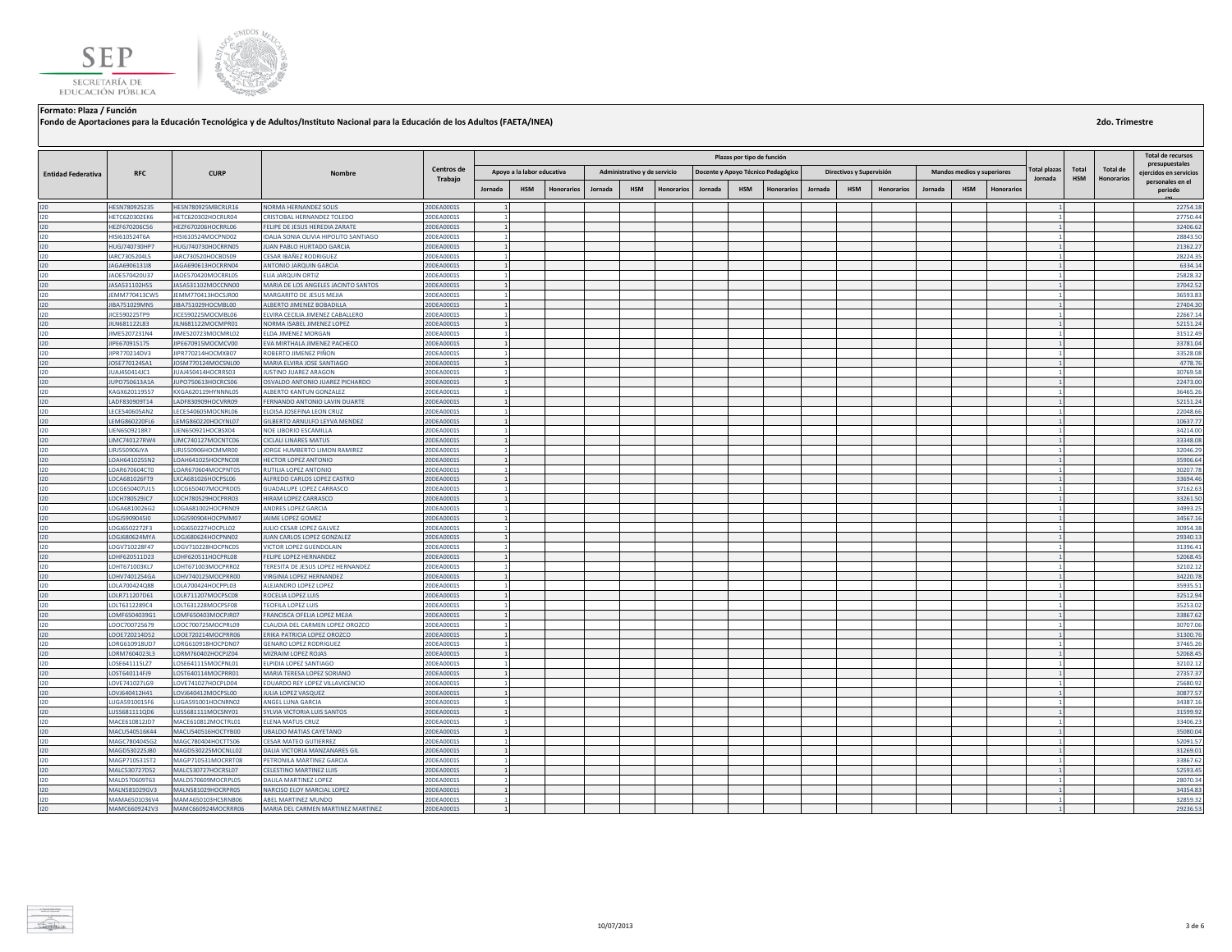



**Fondo de Aportaciones para la Educación Tecnológica y de Adultos/Instituto Nacional para la Educación de los Adultos (FAETA/INEA)**

|                           |                                |                                          |                                                           |                          |                              |                   |         |                              |                   |         | Plazas por tipo de función |                                    |         |                          |                   |         |                            |                  |                     |            |                   | <b>Total de recursos</b>                 |
|---------------------------|--------------------------------|------------------------------------------|-----------------------------------------------------------|--------------------------|------------------------------|-------------------|---------|------------------------------|-------------------|---------|----------------------------|------------------------------------|---------|--------------------------|-------------------|---------|----------------------------|------------------|---------------------|------------|-------------------|------------------------------------------|
| <b>Entidad Federativa</b> | <b>RFC</b>                     | <b>CURP</b>                              | Nombre                                                    | Centros de               | Apoyo a la labor educativa   |                   |         | Administrativo y de servicio |                   |         |                            | Docente y Apoyo Técnico Pedagógico |         | Directivos y Supervisión |                   |         | Mandos medios y superiores |                  | <b>Total plazas</b> | Total      | <b>Total de</b>   | presupuestales<br>eiercidos en servicios |
|                           |                                |                                          |                                                           | Trabajo                  | <b>HSM</b><br>Jornada        | <b>Honorarios</b> | Jornada | <b>HSM</b>                   | <b>Honorarios</b> | Jornada | <b>HSM</b>                 | Honorarios                         | Jornada | <b>HSM</b>               | <b>Honorarios</b> | Jornada | <b>HSM</b>                 | <b>Honorario</b> | Jornada             | <b>HSM</b> | <b>Honorarios</b> | personales en el<br>periodo              |
| 120                       | HESN780925235                  | HESN780925MBCRLB16                       | NORMA HERNANDEZ SOLIS                                     | 20DEA0001S               | $\mathbf{1}$                 |                   |         |                              |                   |         |                            |                                    |         |                          |                   |         |                            |                  |                     |            |                   | 22754.18                                 |
| 120                       | <b>HETC620302EK6</b>           | HETC620302HOCRLR04                       | CRISTOBAL HERNANDEZ TOLEDO                                | 20DEA0001S               |                              |                   |         |                              |                   |         |                            |                                    |         |                          |                   |         |                            |                  |                     |            |                   | 27750.44                                 |
| 120                       | HEZF670206C56                  | HEZF670206HOCRRL06                       | FELIPE DE JESUS HEREDIA ZARATE                            | 20DEA0001S               | $\mathbf{1}$                 |                   |         |                              |                   |         |                            |                                    |         |                          |                   |         |                            |                  |                     |            |                   | 32406.62                                 |
| 120                       | HISI610524T6A                  | HISI610524MOCPND02                       | IDALIA SONIA OLIVIA HIPOLITO SANTIAGO                     | 20DEA0001S               |                              |                   |         |                              |                   |         |                            |                                    |         |                          |                   |         |                            |                  |                     |            |                   | 28843.50                                 |
| 120                       | HUGJ740730HP7                  | HUGJ740730HOCRRN05                       | UAN PABLO HURTADO GARCIA                                  | 20DEA0001S               |                              |                   |         |                              |                   |         |                            |                                    |         |                          |                   |         |                            |                  |                     |            |                   | 21362.27                                 |
| 120                       | ARC7305204L5                   | IARC730520HOCBDS09                       | CESAR IBAÑEZ RODRIGUEZ                                    | 20DEA0001S               | $\mathbf{1}$                 |                   |         |                              |                   |         |                            |                                    |         |                          |                   |         |                            |                  |                     |            |                   | 28224.35                                 |
| 120                       | JAGA6906131I8                  | JAGA690613HOCRRN04                       | ANTONIO JARQUIN GARCIA                                    | 20DEA0001S               | $\overline{1}$               |                   |         |                              |                   |         |                            |                                    |         |                          |                   |         |                            |                  |                     |            |                   | 6334.14                                  |
| 120                       | JAOE570420U37                  | JAOE570420MOCRRL05                       | ELIA JARQUIN ORTIZ                                        | 20DEA0001S               |                              |                   |         |                              |                   |         |                            |                                    |         |                          |                   |         |                            |                  |                     |            |                   | 25828.32                                 |
| 120                       | JASA531102HS5                  | JASA531102MOCCNN00                       | MARIA DE LOS ANGELES JACINTO SANTOS                       | 20DEA0001S               |                              |                   |         |                              |                   |         |                            |                                    |         |                          |                   |         |                            |                  |                     |            |                   | 37042.52                                 |
| 120                       | JEMM770413CW5                  | JEMM770413HOCSJR00                       | MARGARITO DE JESUS MEJIA                                  | 20DEA0001S               |                              |                   |         |                              |                   |         |                            |                                    |         |                          |                   |         |                            |                  |                     |            |                   | 36593.83                                 |
| 120                       | JIBA751029MN5                  | JIBA751029HOCMBL00                       | ALBERTO JIMENEZ BOBADILLA                                 | 20DEA0001S               |                              |                   |         |                              |                   |         |                            |                                    |         |                          |                   |         |                            |                  |                     |            |                   | 27404.30                                 |
| 120                       | <b>IICE590225TP9</b>           | IICE590225MOCMBL06                       | <b>FIVIRA CECILIA IIMENEZ CARALLERO</b>                   | 20DEA0001S               |                              |                   |         |                              |                   |         |                            |                                    |         |                          |                   |         |                            |                  |                     |            |                   | 22667.14                                 |
| 120                       | JILN681122L83                  | JILN681122MOCMPR01                       | NORMA ISABEL JIMENEZ LOPEZ                                | 20DEA0001S               | $\overline{1}$               |                   |         |                              |                   |         |                            |                                    |         |                          |                   |         |                            |                  |                     |            |                   | 52151.24                                 |
| 120                       | JIME5207231N4                  | JIME520723MOCMRL02                       | <b>ELDA JIMENEZ MORGAN</b>                                | 20DEA0001S               |                              |                   |         |                              |                   |         |                            |                                    |         |                          |                   |         |                            |                  |                     |            |                   | 31512.49                                 |
| 120                       | JIPE670915175                  | JIPE670915MOCMCV00                       | EVA MIRTHALA JIMENEZ PACHECO                              | 20DEA0001S               | $\mathbf{1}$                 |                   |         |                              |                   |         |                            |                                    |         |                          |                   |         |                            |                  |                     |            |                   | 33781.04                                 |
| 120                       | <b>JIPR770214DV3</b>           | JIPR770214HOCMXB07                       | ROBERTO JIMENEZ PIÑON                                     | 20DEA0001S               |                              |                   |         |                              |                   |         |                            |                                    |         |                          |                   |         |                            |                  |                     |            |                   | 33528.08                                 |
| 120                       | JOSE770124SA1                  | JOSM770124MOCSNL00                       | MARIA ELVIRA JOSE SANTIAGO                                | 20DEA0001S               | $\mathbf{1}$                 |                   |         |                              |                   |         |                            |                                    |         |                          |                   |         |                            |                  |                     |            |                   | 4778.76                                  |
| 120                       | JUAJ450414JC1                  | JUAJ450414HOCRRS03                       | <b>JUSTINO JUAREZ ARAGON</b>                              | 20DEA0001S               |                              |                   |         |                              |                   |         |                            |                                    |         |                          |                   |         |                            |                  |                     |            |                   | 30769.58                                 |
| 120                       | JUPO750613A1A                  | JUPO750613HOCRCS06                       | OSVALDO ANTONIO JUAREZ PICHARDO                           | 20DEA0001S               | $\mathbf{1}$                 |                   |         |                              |                   |         |                            |                                    |         |                          |                   |         |                            |                  |                     |            |                   | 22473.00                                 |
| 120                       | KAGX620119557                  | KXGA620119HYNNNL05                       | ALBERTO KANTUN GONZALEZ                                   | 20DEA0001S               | $\mathbf{1}$                 |                   |         |                              |                   |         |                            |                                    |         |                          |                   |         |                            |                  |                     |            |                   | 36465.26                                 |
| 120                       | LADF830909T14                  | LADF830909HOCVRR09                       | FERNANDO ANTONIO LAVIN DUARTE                             | 20DEA0001S               |                              |                   |         |                              |                   |         |                            |                                    |         |                          |                   |         |                            |                  |                     |            |                   | 52151.24                                 |
| 120                       | <b>ECE540605AN2</b>            | LECE540605MOCNRL06                       | LOISA JOSEFINA LEON CRUZ                                  | 20DEA0001S               |                              |                   |         |                              |                   |         |                            |                                    |         |                          |                   |         |                            |                  |                     |            |                   | 22048.66                                 |
| 120                       | LEMG860220FL6                  | LEMG860220HOCYNL07                       | GILBERTO ARNULFO LEYVA MENDEZ                             | 20DEA0001S               | $\mathbf{1}$<br>$\mathbf{1}$ |                   |         |                              |                   |         |                            |                                    |         |                          |                   |         |                            |                  |                     |            |                   | 10637.77<br>34214.00                     |
| 120                       | LIEN6509218R7<br>LIMC740127RW4 | LIEN650921HOCBSX04<br>LIMC740127MOCNTC06 | NOE LIBORIO ESCAMILLA<br>CICLALI LINARES MATUS            | 20DEA0001S               | $\mathbf{1}$                 |                   |         |                              |                   |         |                            |                                    |         |                          |                   |         |                            |                  |                     |            |                   | 33348.08                                 |
| 120<br>120                | LIRJ550906JYA                  |                                          |                                                           | 20DEA0001S               | $\sim$                       |                   |         |                              |                   |         |                            |                                    |         |                          |                   |         |                            |                  |                     |            |                   |                                          |
| 120                       |                                | LIRJ550906HOCMMR00                       | JORGE HUMBERTO LIMON RAMIREZ                              | 20DEA0001S               | $\mathbf{1}$                 |                   |         |                              |                   |         |                            |                                    |         |                          |                   |         |                            |                  |                     |            |                   | 32046.29<br>35906.64                     |
| 120                       | LOAH641025SN2<br>LOAR670604CT0 | LOAH641025HOCPNC08<br>LOAR670604MOCPNT05 | <b>HECTOR LOPEZ ANTONIO</b><br>RUTILIA LOPEZ ANTONIO      | 20DEA0001S<br>20DEA0001S |                              |                   |         |                              |                   |         |                            |                                    |         |                          |                   |         |                            |                  |                     |            |                   | 30207.78                                 |
| 120                       | LOCA681026FT9                  | LXCA681026HOCPSL06                       | ALFREDO CARLOS LOPEZ CASTRO                               | 20DEA0001S               | 1                            |                   |         |                              |                   |         |                            |                                    |         |                          |                   |         |                            |                  |                     |            |                   | 33694.46                                 |
| 120                       | LOCG650407U15                  | LOCG650407MOCPRD05                       | GUADALUPE LOPEZ CARRASCO                                  | 20DEA0001S               | $\sim$                       |                   |         |                              |                   |         |                            |                                    |         |                          |                   |         |                            |                  |                     |            |                   | 37162.63                                 |
| 120                       | LOCH780529JC7                  | LOCH780529HOCPRR03                       | HIRAM LOPEZ CARRASCO                                      | 20DEA0001S               |                              |                   |         |                              |                   |         |                            |                                    |         |                          |                   |         |                            |                  |                     |            |                   | 33261.50                                 |
| 120                       | OGA6810026G2                   | LOGA681002HOCPRN09                       | ANDRES LOPEZ GARCIA                                       | 20DEA0001S               |                              |                   |         |                              |                   |         |                            |                                    |         |                          |                   |         |                            |                  |                     |            |                   | 34993.25                                 |
| 120                       | LOGJ5909045I0                  | LOGJ590904HOCPMM07                       | JAIME LOPEZ GOMEZ                                         | 20DEA0001S               | $\mathbf{1}$                 |                   |         |                              |                   |         |                            |                                    |         |                          |                   |         |                            |                  |                     |            |                   | 34567.16                                 |
| 120                       | LOGJ6502272F3                  | LOGJ650227HOCPLL02                       | <b>ULIO CESAR LOPEZ GALVEZ</b>                            | 20DEA0001S               |                              |                   |         |                              |                   |         |                            |                                    |         |                          |                   |         |                            |                  |                     |            |                   | 30954.38                                 |
| 120                       | LOGJ680624MYA                  | LOGJ680624HOCPNN02                       | IUAN CARLOS LOPEZ GONZALEZ                                | 20DEA0001S               | $\overline{1}$               |                   |         |                              |                   |         |                            |                                    |         |                          |                   |         |                            |                  |                     |            |                   | 29340.13                                 |
| 120                       | LOGV710228F47                  | LOGV710228HOCPNC05                       | VICTOR LOPEZ GUENDOLAIN                                   | 20DEA0001S               |                              |                   |         |                              |                   |         |                            |                                    |         |                          |                   |         |                            |                  |                     |            |                   | 31396.41                                 |
| 120                       | LOHF620511D23                  | LOHF620511HOCPRL08                       | FELIPE LOPEZ HERNANDEZ                                    | 20DEA0001S               | $\mathbf{1}$                 |                   |         |                              |                   |         |                            |                                    |         |                          |                   |         |                            |                  |                     |            |                   | 52068.45                                 |
| 120                       | OHT671003KL7                   | LOHT671003MOCPRR02                       | <b>TERESITA DE JESUS LOPEZ HERNANDEZ</b>                  | 20DEA0001S               |                              |                   |         |                              |                   |         |                            |                                    |         |                          |                   |         |                            |                  |                     |            |                   | 32102.12                                 |
| 120                       | LOHV7401254GA                  | LOHV740125MOCPRR00                       | <b>VIRGINIA LOPEZ HERNANDEZ</b>                           | 20DEA0001S               |                              |                   |         |                              |                   |         |                            |                                    |         |                          |                   |         |                            |                  |                     |            |                   | 34220.78                                 |
| 120                       | OLA700424Q88                   | LOLA700424HOCPPL03                       | ALEJANDRO LOPEZ LOPEZ                                     | 20DEA0001S               |                              |                   |         |                              |                   |         |                            |                                    |         |                          |                   |         |                            |                  |                     |            |                   | 35935.51                                 |
| 120                       | LOLR711207D61                  | LOLR711207MOCPSC08                       | ROCELIA LOPEZ LUIS                                        | 20DEA0001S               | 1                            |                   |         |                              |                   |         |                            |                                    |         |                          |                   |         |                            |                  |                     |            |                   | 32512.94                                 |
| 120                       | LOLT6312289C4                  | LOLT631228MOCPSF08                       | <b>TEOFILA LOPEZ LUIS</b>                                 | 20DEA0001S               |                              |                   |         |                              |                   |         |                            |                                    |         |                          |                   |         |                            |                  |                     |            |                   | 35253.02                                 |
| 120                       | LOMF6504039G1                  | LOMF650403MOCPJR07                       | FRANCISCA OFELIA LOPEZ MEJIA                              | 20DEA0001S               | $\mathbf{1}$                 |                   |         |                              |                   |         |                            |                                    |         |                          |                   |         |                            |                  |                     |            |                   | 33867.62                                 |
| 120                       | LOOC700725679                  | LOOC700725MOCPRL09                       | CLAUDIA DEL CARMEN LOPEZ OROZCO                           | 20DEA0001S               |                              |                   |         |                              |                   |         |                            |                                    |         |                          |                   |         |                            |                  |                     |            |                   | 30707.06                                 |
| 120                       | LOOE720214D52                  | LOOE720214MOCPRR06                       | ERIKA PATRICIA LOPEZ OROZCO                               | 20DEA0001S               |                              |                   |         |                              |                   |         |                            |                                    |         |                          |                   |         |                            |                  |                     |            |                   | 31300.76                                 |
| 120                       | <b>ORG610918UD7</b>            | LORG610918HOCPDN07                       | <b>GENARO LOPEZ RODRIGUEZ</b>                             | 20DEA0001S               |                              |                   |         |                              |                   |         |                            |                                    |         |                          |                   |         |                            |                  |                     |            |                   | 37465.26                                 |
| 120                       | LORM7604023L3                  | LORM760402HOCPJZ04                       | MIZRAIM LOPEZ ROJAS                                       | 20DEA0001S               | $\mathbf{1}$                 |                   |         |                              |                   |         |                            |                                    |         |                          |                   |         |                            |                  |                     |            |                   | 52068.45                                 |
| 120                       | LOSE641115LZ7                  | LOSE641115MOCPNL01                       | ELPIDIA LOPEZ SANTIAGO                                    | 20DEA0001S               |                              |                   |         |                              |                   |         |                            |                                    |         |                          |                   |         |                            |                  |                     |            |                   | 32102.12                                 |
| 120                       | LOST640114FJ9                  | LOST640114MOCPRR01                       | MARIA TERESA LOPEZ SORIANO                                | 20DEA0001S               |                              |                   |         |                              |                   |         |                            |                                    |         |                          |                   |         |                            |                  |                     |            |                   | 27357.37                                 |
| 120                       | LOVE741027LG9                  | LOVE741027HOCPLD04                       | EDUARDO REY LOPEZ VILLAVICENCIO                           | 20DEA0001S               |                              |                   |         |                              |                   |         |                            |                                    |         |                          |                   |         |                            |                  |                     |            |                   | 25680.92                                 |
| 120                       | LOVJ640412H41                  | LOVJ640412MOCPSL00                       | JULIA LOPEZ VASQUEZ                                       | 20DEA0001S               | $\mathbf{1}$                 |                   |         |                              |                   |         |                            |                                    |         |                          |                   |         |                            |                  |                     |            |                   | 30877.57                                 |
| 120                       | LUGA5910015F6                  | LUGA591001HOCNRN02                       | ANGEL LUNA GARCIA                                         | 20DEA0001S               | $\mathbf{1}$                 |                   |         |                              |                   |         |                            |                                    |         |                          |                   |         |                            |                  |                     |            |                   | 34387.16                                 |
| 120                       | LUSS681111QD6                  | LUSS681111MOCSNY01                       | SYLVIA VICTORIA LUIS SANTOS                               | 20DEA0001S               | 1                            |                   |         |                              |                   |         |                            |                                    |         |                          |                   |         |                            |                  |                     |            |                   | 31599.92                                 |
| 120                       | MACE610812JD7                  | MACE610812MOCTRL01                       | <b>ELENA MATUS CRUZ</b>                                   | 20DEA0001S               |                              |                   |         |                              |                   |         |                            |                                    |         |                          |                   |         |                            |                  |                     |            |                   | 33406.2                                  |
| 120                       | MACU540516K44                  | MACU540516HOCTYB00                       | <b>UBALDO MATIAS CAYETANO</b>                             | 20DEA0001S               | $\mathbf{1}$                 |                   |         |                              |                   |         |                            |                                    |         |                          |                   |         |                            |                  |                     |            |                   | 35080.04                                 |
| 120                       | MAGC780404SG2                  | MAGC780404HOCTTS06                       | CESAR MATEO GUTIERREZ                                     | 20DEA0001S               |                              |                   |         |                              |                   |         |                            |                                    |         |                          |                   |         |                            |                  |                     |            |                   | 52091.5                                  |
| 120                       | MAGD530225JB0                  | MAGD530225MOCNLL02                       | DALIA VICTORIA MANZANARES GIL                             | 20DEA0001S               | $\mathbf{1}$                 |                   |         |                              |                   |         |                            |                                    |         |                          |                   |         |                            |                  |                     |            |                   | 31269.01                                 |
| 120                       | MAGP710531ST2                  | MAGP710531MOCRRT08                       | PETRONILA MARTINEZ GARCIA                                 | 20DEA0001S               | $\sim$                       |                   |         |                              |                   |         |                            |                                    |         |                          |                   |         |                            |                  |                     |            |                   | 33867.62                                 |
| 120                       | MALC530727D52                  | MALC530727HOCRSL07                       | CELESTINO MARTINEZ LUIS                                   | 20DEA0001S               | 1                            |                   |         |                              |                   |         |                            |                                    |         |                          |                   |         |                            |                  |                     |            |                   | 52593.45                                 |
| 120                       | MALD570609T63                  | MALD570609MOCRPL05                       | DALILA MARTINEZ LOPEZ                                     | 20DEA0001S               |                              |                   |         |                              |                   |         |                            |                                    |         |                          |                   |         |                            |                  |                     |            |                   | 28070.34                                 |
| 120                       | MALN581029GV3                  | MALN581029HOCRPR05                       | NARCISO ELOY MARCIAL LOPEZ                                | 20DEA0001S               |                              |                   |         |                              |                   |         |                            |                                    |         |                          |                   |         |                            |                  |                     |            |                   | 34354.83                                 |
| 120<br>120                | MAMA6501036V4<br>MAMC6609242V3 | MAMA650103HCSRNB06<br>MAMC660924MOCRRR06 | ABEL MARTINEZ MUNDO<br>MARIA DEL CARMEN MARTINEZ MARTINEZ | 20DEA0001S<br>20DEA0001S |                              |                   |         |                              |                   |         |                            |                                    |         |                          |                   |         |                            |                  |                     |            |                   | 32859.32                                 |
|                           |                                |                                          |                                                           |                          | $\mathbf{1}$                 |                   |         |                              |                   |         |                            |                                    |         |                          |                   |         |                            |                  |                     |            |                   | 29236.53                                 |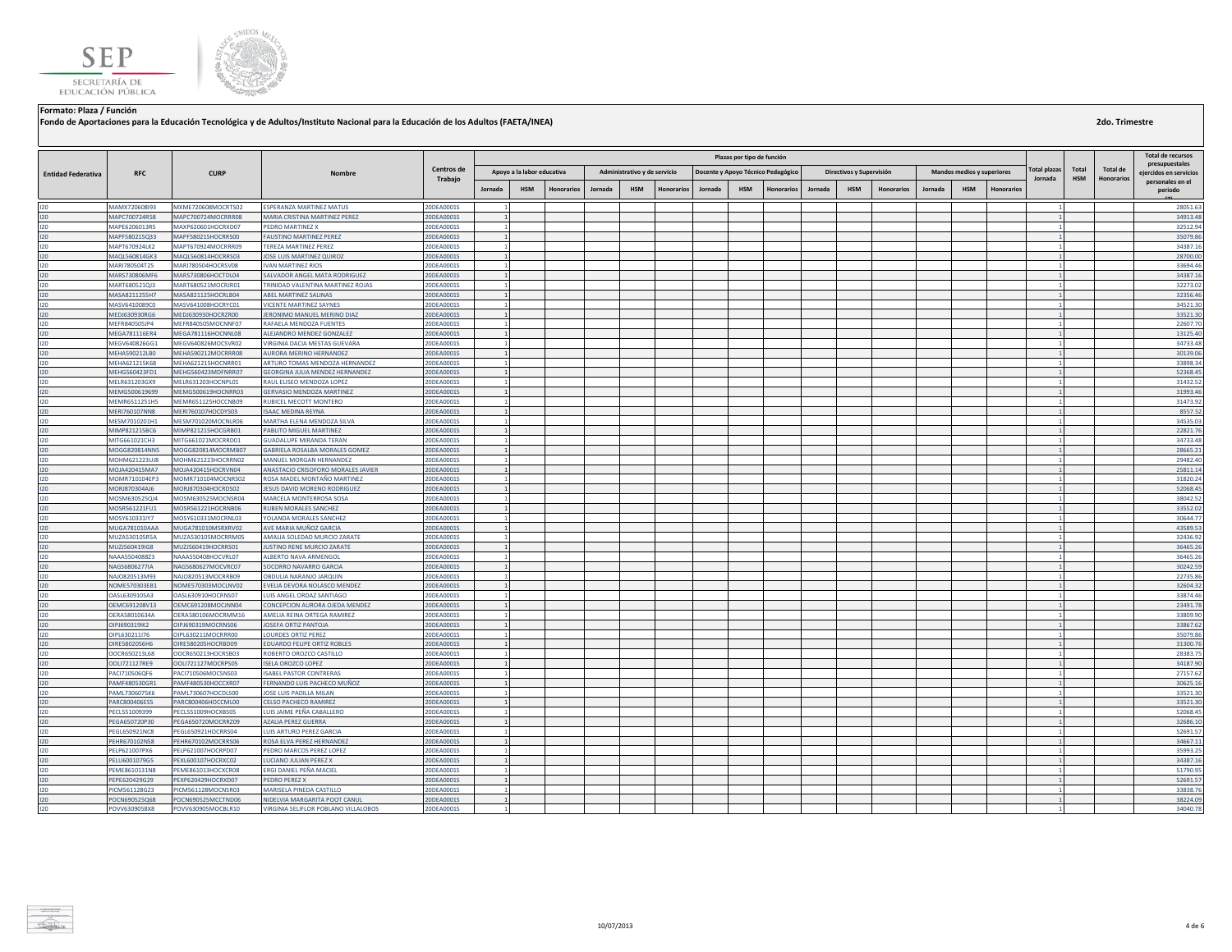



**Fondo de Aportaciones para la Educación Tecnológica y de Adultos/Instituto Nacional para la Educación de los Adultos (FAETA/INEA)**

|                           |                                |                                          |                                                               |                          | Plazas por tipo de función |                            |                   |         |                              |                   |         |            |                                    |         |                          |                   |         |                            |            |                     | <b>Total de recursos</b> |                 |                                            |
|---------------------------|--------------------------------|------------------------------------------|---------------------------------------------------------------|--------------------------|----------------------------|----------------------------|-------------------|---------|------------------------------|-------------------|---------|------------|------------------------------------|---------|--------------------------|-------------------|---------|----------------------------|------------|---------------------|--------------------------|-----------------|--------------------------------------------|
|                           |                                |                                          |                                                               | Centros de               |                            |                            |                   |         |                              |                   |         |            |                                    |         |                          |                   |         |                            |            | <b>Total plazas</b> | Total                    | <b>Total de</b> | presupuestales                             |
| <b>Entidad Federativa</b> | <b>RFC</b>                     | <b>CURP</b>                              | Nombre                                                        | Trabajo                  |                            | Apoyo a la labor educativa |                   |         | Administrativo y de servicio |                   |         |            | Docente y Apoyo Técnico Pedagógico |         | Directivos y Supervisión |                   |         | Mandos medios y superiores |            | Jornada             | <b>HSM</b>               | Honorarios      | eiercidos en servicios<br>personales en el |
|                           |                                |                                          |                                                               |                          | Jornada                    | <b>HSM</b>                 | <b>Honorarios</b> | Jornada | <b>HSM</b>                   | <b>Honorarios</b> | Jornada | <b>HSM</b> | <b>Honorarios</b>                  | Jornada | <b>HSM</b>               | <b>Honorarios</b> | Jornada | <b>HSM</b>                 | Honorario: |                     |                          |                 | periodo                                    |
| 120                       | MAMX720608193                  | MXME720608MOCRTS02                       | ESPERANZA MARTINEZ MATUS                                      | 20DEA0001S               |                            |                            |                   |         |                              |                   |         |            |                                    |         |                          |                   |         |                            |            |                     |                          |                 | 28051.63                                   |
| 120                       | MAPC700724R58                  | MAPC700724MOCRRR08                       | MARIA CRISTINA MARTINEZ PEREZ                                 | 20DEA0001S               |                            |                            |                   |         |                              |                   |         |            |                                    |         |                          |                   |         |                            |            |                     |                          |                 | 34913.48                                   |
| 120                       | MAPE6206013R5                  | MAXP620601HOCRXD07                       | PEDRO MARTINEZ X                                              | 20DEA0001S               | $\mathbf{1}$               |                            |                   |         |                              |                   |         |            |                                    |         |                          |                   |         |                            |            |                     |                          |                 | 32512.94                                   |
| 120                       | MAPF580215Q33                  | MAPF580215HOCRRS00                       | FAUSTINO MARTINEZ PEREZ                                       | 20DEA0001S               | $\mathbf{1}$               |                            |                   |         |                              |                   |         |            |                                    |         |                          |                   |         |                            |            |                     |                          |                 | 35079.86                                   |
| 120                       | MAPT670924LK2                  | MAPT670924MOCRRR09                       | TEREZA MARTINEZ PEREZ                                         | 20DEA0001S               |                            |                            |                   |         |                              |                   |         |            |                                    |         |                          |                   |         |                            |            |                     |                          |                 | 34387.16                                   |
| 120                       | MAQL560814GK3                  | MAQL560814HOCRRS03                       | JOSE LUIS MARTINEZ QUIROZ                                     | 20DEA0001S               | $\mathbf{1}$               |                            |                   |         |                              |                   |         |            |                                    |         |                          |                   |         |                            |            |                     |                          |                 | 28700.00                                   |
| 120                       | MARI780504T25                  | MARI780504HOCRSV08                       | <b>IVAN MARTINEZ RIOS</b>                                     | 20DEA0001S               |                            |                            |                   |         |                              |                   |         |            |                                    |         |                          |                   |         |                            |            |                     |                          |                 | 33694.46                                   |
| 120                       | MARS730806MF6                  | MARS730806HOCTDL04                       | SALVADOR ANGEL MATA RODRIGUEZ                                 | 20DEA0001S               |                            |                            |                   |         |                              |                   |         |            |                                    |         |                          |                   |         |                            |            |                     |                          |                 | 34387.1                                    |
| 120                       | MART680521QJ3                  | MART680521MOCRJR01                       | TRINIDAD VALENTINA MARTINEZ ROJAS                             | 20DEA0001S               |                            |                            |                   |         |                              |                   |         |            |                                    |         |                          |                   |         |                            |            |                     |                          |                 | 32273.02                                   |
| 120                       | MASA8211255H7                  | MASA821125HOCRLB04                       | ABEL MARTINEZ SALINAS                                         | 20DEA0001S               | $\mathbf{1}$               |                            |                   |         |                              |                   |         |            |                                    |         |                          |                   |         |                            |            |                     |                          |                 | 32356.46                                   |
| 120                       | MASV6410089C0                  | MASV641008HOCRYC01                       | <b>ICENTE MARTINEZ SAYNES</b>                                 | 20DEA0001S               |                            |                            |                   |         |                              |                   |         |            |                                    |         |                          |                   |         |                            |            |                     |                          |                 | 34521.30                                   |
| 120                       | MEDJ630930RG6                  | MEDJ630930HOCRZR00                       | JERONIMO MANUEL MERINO DIAZ                                   | 20DEA0001S               | $\mathbf{1}$               |                            |                   |         |                              |                   |         |            |                                    |         |                          |                   |         |                            |            |                     |                          |                 | 33521.30                                   |
| 120                       | MEFR840505JP4                  | MEFR840505MOCNNF07                       | RAFAELA MENDOZA FUENTES                                       | 20DEA0001S               | 11                         |                            |                   |         |                              |                   |         |            |                                    |         |                          |                   |         |                            |            | 1                   |                          |                 | 22607.70                                   |
| 120                       | MEGA781116ER4                  | MEGA781116HOCNNL08                       | ALEJANDRO MENDEZ GONZALEZ                                     | 20DEA0001S               | 1                          |                            |                   |         |                              |                   |         |            |                                    |         |                          |                   |         |                            |            |                     |                          |                 | 13125.40                                   |
| $120 -$                   | MEGV640826GG1                  | MEGV640826MOCSVR02                       | VIRGINIA DACIA MESTAS GUEVARA                                 | 20DEA0001S               |                            |                            |                   |         |                              |                   |         |            |                                    |         |                          |                   |         |                            |            |                     |                          |                 | 34733.48                                   |
| 120                       | MEHA590212LB0                  | MEHA590212MOCRRR08                       | AURORA MERINO HERNANDEZ                                       | 20DEA0001S               | 1                          |                            |                   |         |                              |                   |         |            |                                    |         |                          |                   |         |                            |            |                     |                          |                 | 30139.06                                   |
| 120                       | MEHA621215K68                  | MEHA621215HOCNRR01                       | ARTURO TOMAS MENDOZA HERNANDEZ                                | 20DEA0001S               |                            |                            |                   |         |                              |                   |         |            |                                    |         |                          |                   |         |                            |            |                     |                          |                 | 33898.34                                   |
| 120                       | MEHG560423FD1                  | MEHG560423MDFNRR07                       | <b>GEORGINA JULIA MENDEZ HERNANDEZ</b>                        | 20DEA0001S               | $\mathbf{1}$               |                            |                   |         |                              |                   |         |            |                                    |         |                          |                   |         |                            |            |                     |                          |                 | 52368.45                                   |
| 120                       | MELR631203GX9                  | MELR631203HOCNPL01                       | RAUL ELISEO MENDOZA LOPEZ                                     | 20DEA0001S               |                            |                            |                   |         |                              |                   |         |            |                                    |         |                          |                   |         |                            |            |                     |                          |                 | 31432.52                                   |
| 120                       | MEMG500619699                  | MEMG500619HOCNRR03                       | <b>GERVASIO MENDOZA MARTINEZ</b>                              | 20DEA0001S               |                            |                            |                   |         |                              |                   |         |            |                                    |         |                          |                   |         |                            |            |                     |                          |                 | 31993.46                                   |
| 120                       | MEMR6511251H5                  | MEMR651125HOCCNB09                       | RUBICEL MECOTT MONTERO                                        | 20DEA0001S               |                            |                            |                   |         |                              |                   |         |            |                                    |         |                          |                   |         |                            |            |                     |                          |                 | 31473.92                                   |
| 120<br>120                | MERI760107NN8                  | MERI760107HOCDYS03<br>MESM701020MOCNLR06 | <b>SAAC MEDINA REYNA</b><br>MARTHA ELENA MENDOZA SILVA        | 20DEA0001S               | $\mathbf{1}$               |                            |                   |         |                              |                   |         |            |                                    |         |                          |                   |         |                            |            |                     |                          |                 | 8557.52<br>34535.03                        |
| 120                       | MESM7010201H1<br>MIMP821215BC6 | MIMP821215HOCGRB01                       | PABLITO MIGUEL MARTINEZ                                       | 20DEA0001S<br>20DEA0001S | $\overline{1}$             |                            |                   |         |                              |                   |         |            |                                    |         |                          |                   |         |                            |            |                     |                          |                 | 22821.76                                   |
| 120                       | MITG661021CH3                  | MITG661021MOCRRD01                       | <b>GUADALUPE MIRANDA TERAN</b>                                | 20DEA0001S               | $\mathbf{1}$               |                            |                   |         |                              |                   |         |            |                                    |         |                          |                   |         |                            |            |                     |                          |                 | 34733.48                                   |
| 120                       | MOGG820814NN5                  | MOGG820814MOCRMB07                       | GABRIELA ROSALBA MORALES GOMEZ                                | 20DEA0001S               | $\mathbf{1}$               |                            |                   |         |                              |                   |         |            |                                    |         |                          |                   |         |                            |            |                     |                          |                 | 28665.21                                   |
| 120                       | MOHM621223UJ8                  | MOHM621223HOCRRN02                       | MANUEL MORGAN HERNANDEZ                                       | 20DEA0001S               | $\blacksquare$             |                            |                   |         |                              |                   |         |            |                                    |         |                          |                   |         |                            |            |                     |                          |                 | 29482.40                                   |
| 120                       | MOJA420415MA7                  | MOJA420415HOCRVN04                       | ANASTACIO CRISOFORO MORALES JAVIER                            | 20DEA0001S               |                            |                            |                   |         |                              |                   |         |            |                                    |         |                          |                   |         |                            |            |                     |                          |                 | 25811.14                                   |
| 120                       | MOMR710104EP3                  | MOMR710104MOCNRS02                       | ROSA MADEL MONTAÑO MARTINEZ                                   | 20DEA0001S               |                            |                            |                   |         |                              |                   |         |            |                                    |         |                          |                   |         |                            |            |                     |                          |                 | 31820.24                                   |
| 120                       | MORJ870304AJ6                  | MORJ870304HOCRDS02                       | JESUS DAVID MORENO RODRIGUEZ                                  | 20DEA0001S               | $\mathbf{1}$               |                            |                   |         |                              |                   |         |            |                                    |         |                          |                   |         |                            |            |                     |                          |                 | 52068.45                                   |
| 120                       | MOSM630525QJ4                  | MOSM630525MOCNSR04                       | MARCELA MONTERROSA SOSA                                       | 20DEA0001S               |                            |                            |                   |         |                              |                   |         |            |                                    |         |                          |                   |         |                            |            |                     |                          |                 | 38042.52                                   |
| 120                       | MOSR561221FU1                  | MOSR561221HOCRNB06                       | RUBEN MORALES SANCHEZ                                         | 20DEA0001S               | $\mathbf{1}$               |                            |                   |         |                              |                   |         |            |                                    |         |                          |                   |         |                            |            |                     |                          |                 | 33552.02                                   |
| 120                       | MOSY610331IY7                  | MOSY610331MOCRNL03                       | YOLANDA MORALES SANCHEZ                                       | 20DEA0001S               |                            |                            |                   |         |                              |                   |         |            |                                    |         |                          |                   |         |                            |            |                     |                          |                 | 30644.77                                   |
| 120                       | MUGA781010AAA                  | MUGA781010MSRXRV02                       | AVE MARIA MUÑOZ GARCIA                                        | 20DEA0001S               |                            |                            |                   |         |                              |                   |         |            |                                    |         |                          |                   |         |                            |            |                     |                          |                 | 43589.53                                   |
| 120                       | MUZA530105R5A                  | MUZA530105MOCRRM05                       | AMALIA SOLEDAD MURCIO ZARATE                                  | 20DEA0001S               | $\mathbf{1}$               |                            |                   |         |                              |                   |         |            |                                    |         |                          |                   |         |                            |            |                     |                          |                 | 32436.92                                   |
| 120                       | MUZJ560419IG8                  | MUZJ560419HOCRRS01                       | <b>JUSTINO RENE MURCIO ZARATE</b>                             | 20DEA0001S               | 1                          |                            |                   |         |                              |                   |         |            |                                    |         |                          |                   |         |                            |            |                     |                          |                 | 36465.26                                   |
| 120                       | NAAA5504088Z3                  | NAAA550408HOCVRL07                       | ALBERTO NAVA ARMENGOL                                         | 20DEA0001S               | $\blacksquare$             |                            |                   |         |                              |                   |         |            |                                    |         |                          |                   |         |                            |            |                     |                          |                 | 36465.26                                   |
| 120                       | NAGS6806277IA                  | NAGS680627MOCVRC07                       | SOCORRO NAVARRO GARCIA                                        | 20DEA0001S               | 1                          |                            |                   |         |                              |                   |         |            |                                    |         |                          |                   |         |                            |            |                     |                          |                 | 30242.59                                   |
| 120                       | NAJO820513M93                  | NAJO820513MOCRRB09                       | <b>OBDULIA NARANJO JARQUIN</b>                                | 20DEA0001S               |                            |                            |                   |         |                              |                   |         |            |                                    |         |                          |                   |         |                            |            |                     |                          |                 | 22735.86                                   |
| 120                       | NOME570303EB1                  | NOME570303MOCLNV02                       | EVELIA DEVORA NOLASCO MENDEZ                                  | 20DEA0001S               | 1                          |                            |                   |         |                              |                   |         |            |                                    |         |                          |                   |         |                            |            |                     |                          |                 | 32604.32                                   |
| 120                       | OASL630910SA3                  | OASL630910HOCRNS07                       | LUIS ANGEL ORDAZ SANTIAGO                                     | 20DEA0001S               | $\mathbf{1}$               |                            |                   |         |                              |                   |         |            |                                    |         |                          |                   |         |                            |            |                     |                          |                 | 33874.46                                   |
| 120<br>120                | OEMC691208V13<br>OERA58010634A | OEMC691208MOCJNN04<br>OERA580106MOCRMM16 | CONCEPCION AURORA OJEDA MENDEZ<br>AMELIA REINA ORTEGA RAMIREZ | 20DEA0001S<br>20DEA0001S | 1                          |                            |                   |         |                              |                   |         |            |                                    |         |                          |                   |         |                            |            |                     |                          |                 | 23491.78<br>33809.90                       |
| 120                       | OIPJ690319IK2                  | OIPJ690319MOCRNS06                       | JOSEFA ORTIZ PANTOJA                                          | 20DEA0001S               | $\mathbf{1}$               |                            |                   |         |                              |                   |         |            |                                    |         |                          |                   |         |                            |            |                     |                          |                 | 33867.62                                   |
| 120                       | OIPL630211I76                  | OIPL630211MOCRRR00                       | OURDES ORTIZ PEREZ                                            | 20DEA0001S               |                            |                            |                   |         |                              |                   |         |            |                                    |         |                          |                   |         |                            |            |                     |                          |                 | 35079.86                                   |
| 120                       | OIRE5802056H6                  | OIRE580205HOCRBD09                       | EDUARDO FELIPE ORTIZ ROBLES                                   | 20DEA0001S               | 1                          |                            |                   |         |                              |                   |         |            |                                    |         |                          |                   |         |                            |            |                     |                          |                 | 31300.76                                   |
| 120                       | OOCR650213L68                  | OOCR650213HOCRSB03                       | ROBERTO OROZCO CASTILLO                                       | 20DEA0001S               | 1                          |                            |                   |         |                              |                   |         |            |                                    |         |                          |                   |         |                            |            |                     |                          |                 | 28383.75                                   |
| 120                       | OOLI721127RE9                  | OOLI721127MOCRPS05                       | <b>ISELA OROZCO LOPEZ</b>                                     | 20DEA0001S               | 1                          |                            |                   |         |                              |                   |         |            |                                    |         |                          |                   |         |                            |            |                     |                          |                 | 34187.90                                   |
| 120                       | PACI710506QF6                  | PACI710506MOCSNS03                       | <b>ISABEL PASTOR CONTRERAS</b>                                | 20DEA0001S               |                            |                            |                   |         |                              |                   |         |            |                                    |         |                          |                   |         |                            |            |                     |                          |                 | 27157.62                                   |
| 120                       | PAMF480530GR1                  | PAMF480530HOCCXR07                       | FERNANDO LUIS PACHECO MUÑOZ                                   | 20DEA0001S               |                            |                            |                   |         |                              |                   |         |            |                                    |         |                          |                   |         |                            |            |                     |                          |                 | 30625.16                                   |
| 120                       | PAML7306075K6                  | PAML730607HOCDLS00                       | JOSE LUIS PADILLA MILAN                                       | 20DEA0001S               |                            |                            |                   |         |                              |                   |         |            |                                    |         |                          |                   |         |                            |            |                     |                          |                 | 33521.30                                   |
| 120                       | PARC800406ES5                  | PARC800406HOCCML00                       | CELSO PACHECO RAMIREZ                                         | 20DEA0001S               | $\mathbf{1}$               |                            |                   |         |                              |                   |         |            |                                    |         |                          |                   |         |                            |            |                     |                          |                 | 33521.30                                   |
| 120                       | PECL551009399                  | PECL551009HOCXBS05                       | LUIS JAIME PEÑA CABALLERO                                     | 20DEA0001S               |                            |                            |                   |         |                              |                   |         |            |                                    |         |                          |                   |         |                            |            |                     |                          |                 | 52068.45                                   |
| 120                       | PEGA650720P30                  | PEGA650720MOCRRZ09                       | AZALIA PEREZ GUERRA                                           | 20DEA0001S               |                            |                            |                   |         |                              |                   |         |            |                                    |         |                          |                   |         |                            |            |                     |                          |                 | 32686.1                                    |
| 120                       | PEGL650921NC8                  | PEGL650921HOCRRS04                       | <b>UIS ARTURO PEREZ GARCIA</b>                                | 20DEA0001S               | $\blacksquare$             |                            |                   |         |                              |                   |         |            |                                    |         |                          |                   |         |                            |            |                     |                          |                 | 52691.57                                   |
| 120                       | PEHR670102NS8                  | PEHR670102MOCRRS06                       | ROSA ELVA PEREZ HERNANDEZ                                     | 20DEA0001S               | 1                          |                            |                   |         |                              |                   |         |            |                                    |         |                          |                   |         |                            |            |                     |                          |                 | 34667.11                                   |
| 120                       | PELP621007PX6                  | PELP621007HOCRPD07                       | EDRO MARCOS PEREZ LOPEZ                                       | 20DEA0001S               |                            |                            |                   |         |                              |                   |         |            |                                    |         |                          |                   |         |                            |            |                     |                          |                 | 35993.25                                   |
| 120                       | PELU6001079G5                  | PEXL600107HOCRXC02                       | LUCIANO JULIAN PEREZ X                                        | 20DEA0001S               | $\mathbf{1}$               |                            |                   |         |                              |                   |         |            |                                    |         |                          |                   |         |                            |            |                     |                          |                 | 34387.16                                   |
| 120                       | PEME8610131N8                  | PEME861013HOCXCR08                       | ERGI DANIEL PEÑA MACIEL                                       | 20DEA0001S               |                            |                            |                   |         |                              |                   |         |            |                                    |         |                          |                   |         |                            |            |                     |                          |                 | 51790.95                                   |
| 120                       | PEPE620429G29                  | PEXP620429HOCRXD07                       | PEDRO PEREZ X                                                 | 20DEA0001S               | $\mathbf{1}$               |                            |                   |         |                              |                   |         |            |                                    |         |                          |                   |         |                            |            |                     |                          |                 | 52691.57                                   |
| 120                       | PICM561128GZ3                  | PICM561128MOCNSR03                       | MARISELA PINEDA CASTILLO                                      | 20DEA0001S               |                            |                            |                   |         |                              |                   |         |            |                                    |         |                          |                   |         |                            |            |                     |                          |                 | 33838.76                                   |
| 120                       | POCN690525Q68                  | POCN690525MCCTND06                       | NIDELVIA MARGARITA POOT CANUL                                 | 20DEA0001S               |                            |                            |                   |         |                              |                   |         |            |                                    |         |                          |                   |         |                            |            |                     |                          |                 | 38224.09                                   |
| 120                       | POVV6309058X8                  | POVV630905MOCBLR10                       | VIRGINIA SELIFLOR POBLANO VILLALOBOS                          | 20DEA0001S               |                            |                            |                   |         |                              |                   |         |            |                                    |         |                          |                   |         |                            |            |                     |                          |                 | 34040.78                                   |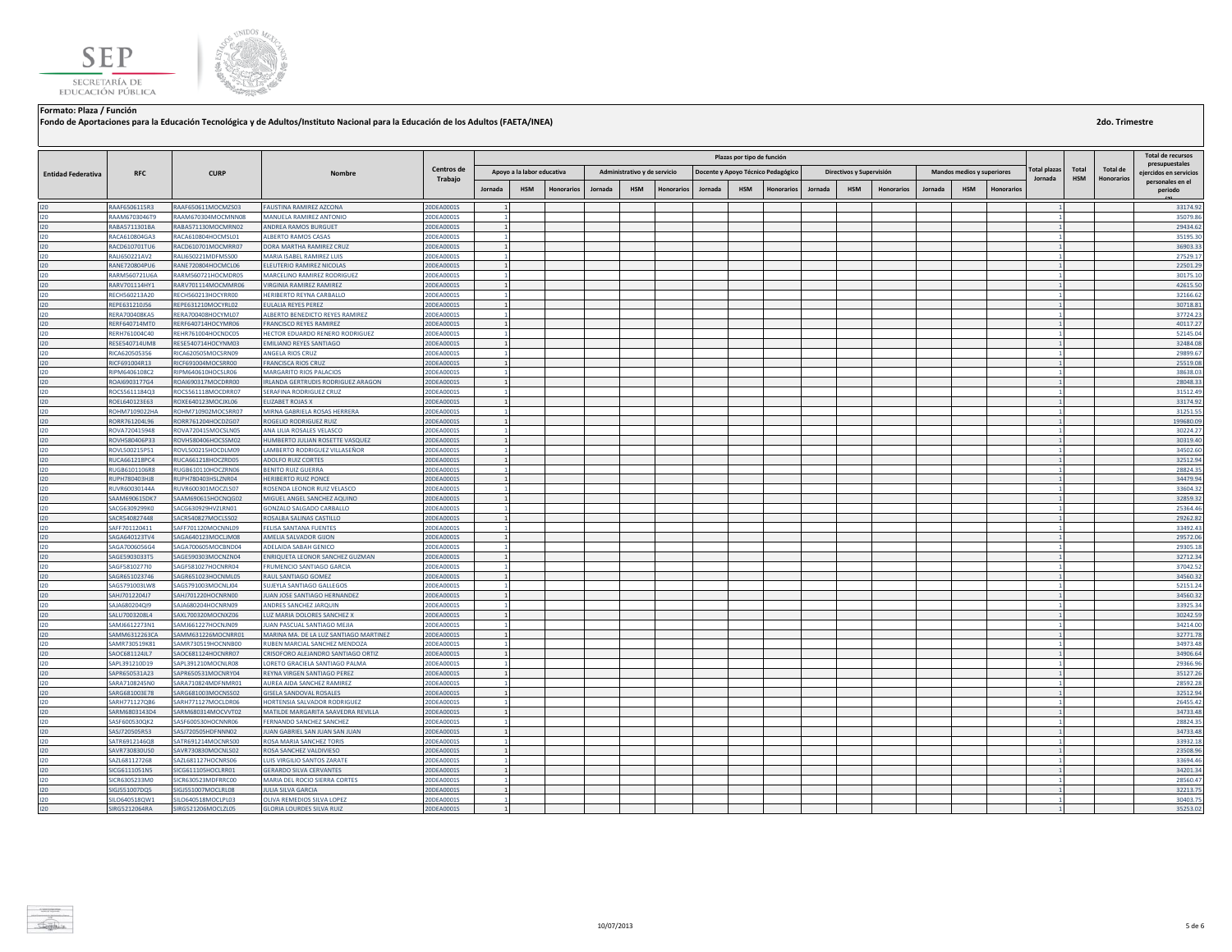



**Fondo de Aportaciones para la Educación Tecnológica y de Adultos/Instituto Nacional para la Educación de los Adultos (FAETA/INEA)**

|                           |                                |                                          |                                                                      |                          |                 |                            |                   |         |                              |                   |         | Plazas por tipo de función |                                    |         |                          |                   |         |                                   |            |                |            |                   | <b>Total de recursos</b>                   |
|---------------------------|--------------------------------|------------------------------------------|----------------------------------------------------------------------|--------------------------|-----------------|----------------------------|-------------------|---------|------------------------------|-------------------|---------|----------------------------|------------------------------------|---------|--------------------------|-------------------|---------|-----------------------------------|------------|----------------|------------|-------------------|--------------------------------------------|
|                           |                                |                                          |                                                                      | Centros de               |                 | Apoyo a la labor educativa |                   |         |                              |                   |         |                            |                                    |         |                          |                   |         | <b>Mandos medios y superiores</b> |            | Total plazas   | Total      | Total de          | presupuestales                             |
| <b>Entidad Federativa</b> | <b>RFC</b>                     | <b>CURP</b>                              | Nombre                                                               | Trabajo                  |                 |                            |                   |         | Administrativo y de servicio |                   |         |                            | Docente y Apoyo Técnico Pedagógico |         | Directivos y Supervisión |                   |         |                                   |            | Jornada        | <b>HSM</b> | <b>Honorarios</b> | eiercidos en servicios<br>personales en el |
|                           |                                |                                          |                                                                      |                          | Jornada         | <b>HSM</b>                 | <b>Honorarios</b> | Jornada | <b>HSM</b>                   | <b>Honorarios</b> | Jornada | <b>HSM</b>                 | Honorarios                         | Jornada | <b>HSM</b>               | <b>Honorarios</b> | Jornada | <b>HSM</b>                        | Honorario: |                |            |                   | periodo                                    |
| 120                       | RAAF6506115R3                  | RAAF650611MOCMZS03                       | <b>FAUSTINA RAMIREZ AZCONA</b>                                       | 20DEA0001S               |                 |                            |                   |         |                              |                   |         |                            |                                    |         |                          |                   |         |                                   |            |                |            |                   | 33174.92                                   |
| 120                       | RAAM6703046T9                  | RAAM670304MOCMNN08                       | MANUELA RAMIREZ ANTONIO                                              | 20DEA0001S               |                 |                            |                   |         |                              |                   |         |                            |                                    |         |                          |                   |         |                                   |            | $\overline{1}$ |            |                   | 35079.86                                   |
| 120                       | RABA5711301BA                  | RABA571130MOCMRN02                       | ANDREA RAMOS BURGUET                                                 | 20DEA0001S               |                 |                            |                   |         |                              |                   |         |                            |                                    |         |                          |                   |         |                                   |            |                |            |                   | 29434.62                                   |
| $120 -$                   | RACA610804GA3                  | RACA610804HOCMSL01                       | ALBERTO RAMOS CASAS                                                  | 20DEA0001S               |                 |                            |                   |         |                              |                   |         |                            |                                    |         |                          |                   |         |                                   |            |                |            |                   | 35195.30                                   |
| 120                       | RACD610701TU6                  | RACD610701MOCMRR07                       | DORA MARTHA RAMIREZ CRUZ                                             | 20DEA0001S               |                 |                            |                   |         |                              |                   |         |                            |                                    |         |                          |                   |         |                                   |            |                |            |                   | 36903.33                                   |
| 120                       | RALI650221AV2                  | RALI650221MDFMSS00                       | MARIA ISABEL RAMIREZ LUIS                                            | 20DEA0001S               |                 |                            |                   |         |                              |                   |         |                            |                                    |         |                          |                   |         |                                   |            |                |            |                   | 27529.17                                   |
| 120                       | RANE720804PU6                  | RANE720804HOCMCL06                       | ELEUTERIO RAMIREZ NICOLAS                                            | 20DEA0001S               | $\overline{1}$  |                            |                   |         |                              |                   |         |                            |                                    |         |                          |                   |         |                                   |            |                |            |                   | 22501.29                                   |
| 120                       | RARM560721U6A                  | RARM560721HOCMDR05                       | MARCELINO RAMIREZ RODRIGUEZ                                          | 20DEA0001S               |                 |                            |                   |         |                              |                   |         |                            |                                    |         |                          |                   |         |                                   |            |                |            |                   | 30175.10                                   |
| 120                       | RARV701114HY1                  | RARV701114MOCMMR06                       | <b>VIRGINIA RAMIREZ RAMIREZ</b>                                      | 20DEA0001S               | $\mathbf{1}$    |                            |                   |         |                              |                   |         |                            |                                    |         |                          |                   |         |                                   |            |                |            |                   | 42615.50                                   |
| 120                       | RECH560213A20                  | RECH560213HOCYRR00                       | HERIBERTO REYNA CARBALLO                                             | 20DEA0001S               |                 |                            |                   |         |                              |                   |         |                            |                                    |         |                          |                   |         |                                   |            |                |            |                   | 32166.62                                   |
| 120                       | REPE631210J56                  | REPE631210MOCYRL02                       | <b>ULALIA REYES PEREZ</b>                                            | 20DEA0001S               |                 |                            |                   |         |                              |                   |         |                            |                                    |         |                          |                   |         |                                   |            |                |            |                   | 30718.81                                   |
| 120                       | <b>RERA700408KA5</b>           | RERA700408HOCYML07                       | ALBERTO BENEDICTO REYES RAMIREZ                                      | 20DEA0001S               | 1               |                            |                   |         |                              |                   |         |                            |                                    |         |                          |                   |         |                                   |            |                |            |                   | 37724.23                                   |
| 120<br>120                | RERF640714MT0<br>RERH761004C40 | RERF640714HOCYMR06<br>REHR761004HOCNDC05 | FRANCISCO REYES RAMIREZ                                              | 20DEA0001S               | $\mathbf{1}$    |                            |                   |         |                              |                   |         |                            |                                    |         |                          |                   |         |                                   |            |                |            |                   | 40117.27<br>52145.04                       |
| 120                       | RESE540714UM8                  | RESE540714HOCYNM03                       | HECTOR EDUARDO RENERO RODRIGUEZ<br><b>EMILIANO REYES SANTIAGO</b>    | 20DEA0001S<br>20DEA0001S | 1               |                            |                   |         |                              |                   |         |                            |                                    |         |                          |                   |         |                                   |            |                |            |                   | 32484.08                                   |
| 120                       | RICA620505356                  | RICA620505MOCSRN09                       | ANGELA RIOS CRUZ                                                     | 20DEA0001S               | $\blacksquare$  |                            |                   |         |                              |                   |         |                            |                                    |         |                          |                   |         |                                   |            |                |            |                   | 29899.67                                   |
| 120                       | RICF691004R13                  | RICF691004MOCSRR00                       | FRANCISCA RIOS CRUZ                                                  | 20DEA0001S               |                 |                            |                   |         |                              |                   |         |                            |                                    |         |                          |                   |         |                                   |            |                |            |                   | 25519.08                                   |
| 120                       | RIPM6406108C2                  | RIPM640610HOCSLR06                       | MARGARITO RIOS PALACIOS                                              | 20DEA0001S               |                 |                            |                   |         |                              |                   |         |                            |                                    |         |                          |                   |         |                                   |            |                |            |                   | 38638.03                                   |
| 120                       | ROAI6903177G4                  | ROAI690317MOCDRR00                       | IRLANDA GERTRUDIS RODRIGUEZ ARAGON                                   | 20DEA0001S               | $\mathbf{1}$    |                            |                   |         |                              |                   |         |                            |                                    |         |                          |                   |         |                                   |            |                |            |                   | 28048.33                                   |
| 120                       | ROCS5611184Q3                  | ROCS561118MOCDRR07                       | SERAFINA RODRIGUEZ CRUZ                                              | 20DEA0001S               |                 |                            |                   |         |                              |                   |         |                            |                                    |         |                          |                   |         |                                   |            |                |            |                   | 31512.49                                   |
| 120                       | ROEL640123E63                  | ROXE640123MOCJXL06                       | <b>FLIZARET ROJAS X</b>                                              | 20DEA0001S               |                 |                            |                   |         |                              |                   |         |                            |                                    |         |                          |                   |         |                                   |            |                |            |                   | 33174.92                                   |
| 120                       | ROHM7109022HA                  | ROHM710902MOCSRR07                       | MIRNA GABRIELA ROSAS HERRERA                                         | 20DEA0001S               |                 |                            |                   |         |                              |                   |         |                            |                                    |         |                          |                   |         |                                   |            |                |            |                   | 31251.55                                   |
| 120                       | RORR761204L96                  | RORR761204HOCDZG07                       | ROGELIO RODRIGUEZ RUIZ                                               | 20DEA0001S               |                 |                            |                   |         |                              |                   |         |                            |                                    |         |                          |                   |         |                                   |            |                |            |                   | 199680.09                                  |
| 120                       | ROVA720415948                  | ROVA720415MOCSLN05                       | ANA LILIA ROSALES VELASCO                                            | 20DEA0001S               | $\mathbf{1}$    |                            |                   |         |                              |                   |         |                            |                                    |         |                          |                   |         |                                   |            |                |            |                   | 30224.27                                   |
| 120                       | ROVH580406P33                  | ROVH580406HOCSSM02                       | HUMBERTO JULIAN ROSETTE VASQUEZ                                      | 20DEA0001S               | $1\overline{ }$ |                            |                   |         |                              |                   |         |                            |                                    |         |                          |                   |         |                                   |            |                |            |                   | 30319.40                                   |
| 120                       | ROVL500215P51                  | ROVL500215HOCDLM09                       | LAMBERTO RODRIGUEZ VILLASEÑOR                                        | 20DEA0001S               | $\mathbf{1}$    |                            |                   |         |                              |                   |         |                            |                                    |         |                          |                   |         |                                   |            |                |            |                   | 34502.60                                   |
| 120                       | RUCA661218PC4                  | RUCA661218HOCZRD05                       | ADOLFO RUIZ CORTES                                                   | 20DEA0001S               | 1               |                            |                   |         |                              |                   |         |                            |                                    |         |                          |                   |         |                                   |            |                |            |                   | 32512.94                                   |
| 120                       | RUGB6101106R8                  | RUGB610110HOCZRN06                       | BENITO RUIZ GUERRA                                                   | 20DEA0001S               |                 |                            |                   |         |                              |                   |         |                            |                                    |         |                          |                   |         |                                   |            |                |            |                   | 28824.35                                   |
| 120                       | RUPH780403HJ8                  | RUPH780403HSLZNR04                       | <b>HERIBERTO RUIZ PONCE</b>                                          | 20DEA0001S               | $1\overline{ }$ |                            |                   |         |                              |                   |         |                            |                                    |         |                          |                   |         |                                   |            |                |            |                   | 34479.94                                   |
| 120                       | RUVR60030144A                  | RUVR600301MOCZLS07                       | ROSENDA LEONOR RUIZ VELASCO                                          | 20DEA0001S               | $\blacksquare$  |                            |                   |         |                              |                   |         |                            |                                    |         |                          |                   |         |                                   |            |                |            |                   | 33604.32                                   |
| 120<br>120                | SAAM690615DK7<br>SACG6309299K0 | SAAM690615HOCNQG02<br>SACG630929HVZLRN01 | MIGUEL ANGEL SANCHEZ AQUINO<br>GONZALO SALGADO CARBALLO              | 20DEA0001S<br>20DEA0001S | 1               |                            |                   |         |                              |                   |         |                            |                                    |         |                          |                   |         |                                   |            |                |            |                   | 32859.32<br>25364.46                       |
| 120                       | SACR540827448                  | SACR540827MOCLSS02                       | ROSALBA SALINAS CASTILLO                                             | 20DEA0001S               | $\mathbf{1}$    |                            |                   |         |                              |                   |         |                            |                                    |         |                          |                   |         |                                   |            |                |            |                   | 29262.82                                   |
| 120                       | SAFF701120411                  | SAFF701120MOCNNL09                       | FELISA SANTANA FUENTES                                               | 20DEA0001S               |                 |                            |                   |         |                              |                   |         |                            |                                    |         |                          |                   |         |                                   |            |                |            |                   | 33492.43                                   |
| 120                       | AGA640123TV4                   | SAGA640123MOCLIM08                       | AMELIA SALVADOR GIJON                                                | 20DEA0001S               | $\mathbf{1}$    |                            |                   |         |                              |                   |         |                            |                                    |         |                          |                   |         |                                   |            |                |            |                   | 29572.06                                   |
| 120                       | 6AGA7006056G4                  | SAGA700605MOCBND04                       | ADELAIDA SABAH GENICO                                                | 20DEA0001S               |                 |                            |                   |         |                              |                   |         |                            |                                    |         |                          |                   |         |                                   |            |                |            |                   | 29305.18                                   |
| 120                       | SAGE5903033T5                  | SAGE590303MOCNZN04                       | ENRIQUETA LEONOR SANCHEZ GUZMAN                                      | 20DEA0001S               | 1               |                            |                   |         |                              |                   |         |                            |                                    |         |                          |                   |         |                                   |            |                |            |                   | 32712.34                                   |
| 120                       | SAGF5810277I0                  | SAGF581027HOCNRR04                       | FRUMENCIO SANTIAGO GARCIA                                            | 20DEA0001S               |                 |                            |                   |         |                              |                   |         |                            |                                    |         |                          |                   |         |                                   |            |                |            |                   | 37042.52                                   |
| 120                       | SAGR651023746                  | SAGR651023HOCNML05                       | RAUL SANTIAGO GOMEZ                                                  | 20DEA0001S               |                 |                            |                   |         |                              |                   |         |                            |                                    |         |                          |                   |         |                                   |            |                |            |                   | 34560.32                                   |
| 120                       | SAGS791003LW8                  | SAGS791003MOCNLJ04                       | <b>JUJEYLA SANTIAGO GALLEGOS</b>                                     | 20DEA0001S               |                 |                            |                   |         |                              |                   |         |                            |                                    |         |                          |                   |         |                                   |            |                |            |                   | 52151.24                                   |
| 120                       | SAHJ7012204J7                  | SAHJ701220HOCNRN00                       | JUAN JOSE SANTIAGO HERNANDEZ                                         | 20DEA0001S               | 1               |                            |                   |         |                              |                   |         |                            |                                    |         |                          |                   |         |                                   |            |                |            |                   | 34560.32                                   |
| 120                       | SAJA680204QI9                  | SAJA680204HOCNRN09                       | ANDRES SANCHEZ JARQUIN                                               | 20DEA0001S               | $\mathbf{1}$    |                            |                   |         |                              |                   |         |                            |                                    |         |                          |                   |         |                                   |            |                |            |                   | 33925.34                                   |
| 120                       | SALU7003208L4                  | SAXL700320MOCNXZ06                       | LUZ MARIA DOLORES SANCHEZ X                                          | 20DEA0001S               |                 |                            |                   |         |                              |                   |         |                            |                                    |         |                          |                   |         |                                   |            |                |            |                   | 30242.59                                   |
| 120                       | SAMJ6612273N1                  | SAMJ661227HOCNJN09                       | JUAN PASCUAL SANTIAGO MEJIA                                          | 20DEA0001S               | $\overline{1}$  |                            |                   |         |                              |                   |         |                            |                                    |         |                          |                   |         |                                   |            |                |            |                   | 34214.00                                   |
| 120                       | <b>SAMM6312263CA</b>           | SAMM631226MOCNRR01                       | MARINA MA. DE LA LUZ SANTIAGO MARTINEZ                               | 20DEA0001S               |                 |                            |                   |         |                              |                   |         |                            |                                    |         |                          |                   |         |                                   |            |                |            |                   | 32771.78                                   |
| 120                       | SAMR730519K81                  | SAMR730519HOCNNB00                       | RUBEN MARCIAL SANCHEZ MENDOZA                                        | 20DEA0001S               | 1               |                            |                   |         |                              |                   |         |                            |                                    |         |                          |                   |         |                                   |            |                |            |                   | 34973.48                                   |
| 120<br>120                | SAOC681124JL7                  | SAOC681124HOCNRR07                       | CRISOFORO ALEJANDRO SANTIAGO ORTIZ<br>LORETO GRACIELA SANTIAGO PALMA | 20DEA0001S               | $\mathbf{1}$    |                            |                   |         |                              |                   |         |                            |                                    |         |                          |                   |         |                                   |            |                |            |                   | 34906.64<br>29366.96                       |
| 120                       | SAPL391210D19<br>SAPR650531A23 | SAPL391210MOCNLR08<br>SAPR650531MOCNRY04 | REYNA VIRGEN SANTIAGO PEREZ                                          | 20DEA0001S<br>20DEA0001S | $\mathbf{1}$    |                            |                   |         |                              |                   |         |                            |                                    |         |                          |                   |         |                                   |            |                |            |                   | 35127.26                                   |
| 120                       | SARA7108245N0                  | SARA710824MDFNMR01                       | AUREA AIDA SANCHEZ RAMIREZ                                           | 20DEA0001S               |                 |                            |                   |         |                              |                   |         |                            |                                    |         |                          |                   |         |                                   |            |                |            |                   | 28592.28                                   |
| 120                       | SARG681003E78                  | SARG681003MOCNSS02                       | GISELA SANDOVAL ROSALES                                              | 20DEA0001S               | $\mathbf{1}$    |                            |                   |         |                              |                   |         |                            |                                    |         |                          |                   |         |                                   |            |                |            |                   | 32512.94                                   |
| 120                       | SARH771127QB6                  | SARH771127MOCLDR06                       | HORTENSIA SAI VADOR RODRIGUEZ                                        | 20DEA0001S               | $\mathbf{1}$    |                            |                   |         |                              |                   |         |                            |                                    |         |                          |                   |         |                                   |            |                |            |                   | 26455.42                                   |
| 120                       | SARM6803143D4                  | SARM680314MOCVVT02                       | MATILDE MARGARITA SAAVEDRA REVILLA                                   | 20DEA0001S               |                 |                            |                   |         |                              |                   |         |                            |                                    |         |                          |                   |         |                                   |            |                |            |                   | 34733.48                                   |
| 120                       | SASF600530QK2                  | SASF600530HOCNNR06                       | FERNANDO SANCHEZ SANCHEZ                                             | 20DEA0001S               |                 |                            |                   |         |                              |                   |         |                            |                                    |         |                          |                   |         |                                   |            |                |            |                   | 28824.35                                   |
| 120                       | SASJ720505R53                  | SASJ720505HDFNNN02                       | <b>IUAN GABRIEL SAN IUAN SAN IUAN</b>                                | 20DEA0001S               | 1               |                            |                   |         |                              |                   |         |                            |                                    |         |                          |                   |         |                                   |            |                |            |                   | 34733.48                                   |
| 120                       | SATR6912146Q8                  | SATR691214MOCNRS00                       | ROSA MARIA SANCHEZ TORIS                                             | 20DEA0001S               |                 |                            |                   |         |                              |                   |         |                            |                                    |         |                          |                   |         |                                   |            |                |            |                   | 33932.18                                   |
| 120                       | SAVR730830US0                  | SAVR730830MOCNLS02                       | <b>ROSA SANCHEZ VALDIVIESO</b>                                       | 20DEA0001S               |                 |                            |                   |         |                              |                   |         |                            |                                    |         |                          |                   |         |                                   |            |                |            |                   | 23508.96                                   |
| 120                       | SAZL681127268                  | SAZL681127HOCNRS06                       | UIS VIRGILIO SANTOS ZARATE                                           | 20DEA0001S               | $\mathbf{1}$    |                            |                   |         |                              |                   |         |                            |                                    |         |                          |                   |         |                                   |            |                |            |                   | 33694.46                                   |
| 120                       | SICG6111051N5                  | SICG611105HOCLRR01                       | <b>GERARDO SILVA CERVANTES</b>                                       | 20DEA0001S               | 1               |                            |                   |         |                              |                   |         |                            |                                    |         |                          |                   |         |                                   |            |                |            |                   | 34201.34                                   |
| 120                       | SICR6305233M0                  | SICR630523MDFRRC00                       | MARIA DEL ROCIO SIERRA CORTES                                        | 20DEA0001S               |                 |                            |                   |         |                              |                   |         |                            |                                    |         |                          |                   |         |                                   |            |                |            |                   | 28560.47                                   |
| 120                       | SIGJ551007DQ5                  | SIGJ551007MOCLRL08                       | <b>JULIA SILVA GARCIA</b>                                            | 20DEA0001S               | $\mathbf{1}$    |                            |                   |         |                              |                   |         |                            |                                    |         |                          |                   |         |                                   |            |                |            |                   | 32213.75                                   |
| 120<br>120                | SILO640518QW1<br>SIRG5212064RA | SILO640518MOCLPL03<br>SIRG521206MOCLZL05 | OLIVA REMEDIOS SILVA LOPEZ<br><b>GLORIA LOURDES SILVA RUIZ</b>       | 20DEA0001S<br>20DEA0001S | $1\overline{ }$ |                            |                   |         |                              |                   |         |                            |                                    |         |                          |                   |         |                                   |            |                |            |                   | 30403.75<br>35253.02                       |
|                           |                                |                                          |                                                                      |                          |                 |                            |                   |         |                              |                   |         |                            |                                    |         |                          |                   |         |                                   |            |                |            |                   |                                            |